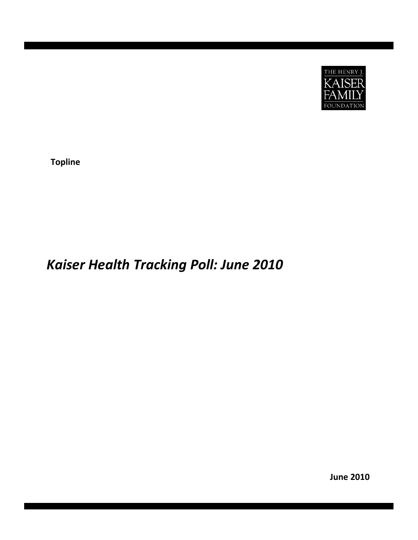

**Topline**

# *Kaiser Health Tracking Poll: June 2010*

**June 2010**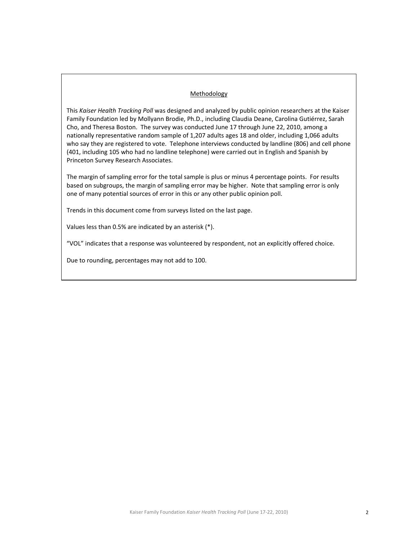#### Methodology

This *Kaiser Health Tracking Poll* was designed and analyzed by public opinion researchers at the Kaiser Family Foundation led by Mollyann Brodie, Ph.D., including Claudia Deane, Carolina Gutiérrez, Sarah Cho, and Theresa Boston. The survey was conducted June 17 through June 22, 2010, among a nationally representative random sample of 1,207 adults ages 18 and older, including 1,066 adults who say they are registered to vote. Telephone interviews conducted by landline (806) and cell phone (401, including 105 who had no landline telephone) were carried out in English and Spanish by Princeton Survey Research Associates.

The margin of sampling error for the total sample is plus or minus 4 percentage points. For results based on subgroups, the margin of sampling error may be higher. Note that sampling error is only one of many potential sources of error in this or any other public opinion poll.

Trends in this document come from surveys listed on the last page.

Values less than 0.5% are indicated by an asterisk (\*).

"VOL" indicates that a response was volunteered by respondent, not an explicitly offered choice.

Due to rounding, percentages may not add to 100.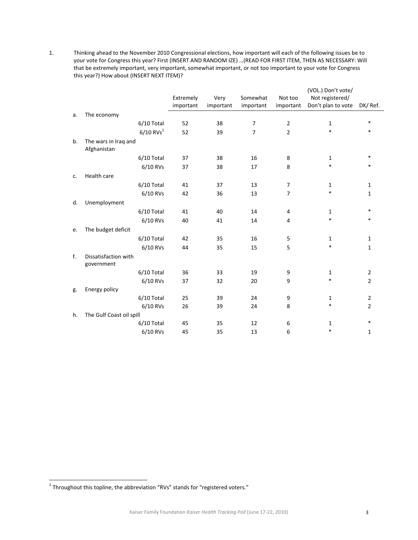l

1. Thinking ahead to the November 2010 Congressional elections, how important will each of the following issues be to your vote for Congress this year? First (INSERT AND RANDOM IZE) …(READ FOR FIRST ITEM, THEN AS NECESSARY: Will that be extremely important, very important, somewhat important, or not too important to your vote for Congress this year?) How about (INSERT NEXT ITEM)?

|    |                                     |           |           |                |                | (VOL.) Don't vote/ |                |
|----|-------------------------------------|-----------|-----------|----------------|----------------|--------------------|----------------|
|    |                                     | Extremely | Very      | Somewhat       | Not too        | Not registered/    |                |
|    |                                     | important | important | important      | important      | Don't plan to vote | DK/Ref.        |
| a. | The economy                         |           |           |                |                |                    |                |
|    | 6/10 Total                          | 52        | 38        | $\overline{7}$ | $\overline{2}$ | $\mathbf 1$        | $\ast$         |
|    | $6/10$ RVs <sup>1</sup>             | 52        | 39        | $\overline{7}$ | $\overline{2}$ | $\ast$             | $\ast$         |
| b. | The wars in Iraq and<br>Afghanistan |           |           |                |                |                    |                |
|    | 6/10 Total                          | 37        | 38        | 16             | 8              | $\mathbf{1}$       | $\ast$         |
|    | 6/10 RVs                            | 37        | 38        | 17             | 8              | $\ast$             | $\ast$         |
| c. | Health care                         |           |           |                |                |                    |                |
|    | 6/10 Total                          | 41        | 37        | 13             | 7              | 1                  | 1              |
|    | 6/10 RVs                            | 42        | 36        | 13             | $\overline{7}$ | $\ast$             | 1              |
| d. | Unemployment                        |           |           |                |                |                    |                |
|    | 6/10 Total                          | 41        | 40        | 14             | 4              | 1                  | $\ast$         |
|    | 6/10 RVs                            | 40        | 41        | 14             | 4              | $\ast$             | $\ast$         |
| e. | The budget deficit                  |           |           |                |                |                    |                |
|    | 6/10 Total                          | 42        | 35        | 16             | 5              | 1                  | 1              |
|    | 6/10 RVs                            | 44        | 35        | 15             | 5              | $\ast$             | 1              |
| f. | Dissatisfaction with<br>government  |           |           |                |                |                    |                |
|    | 6/10 Total                          | 36        | 33        | 19             | 9              | $\mathbf{1}$       | $\overline{2}$ |
|    | 6/10 RVs                            | 37        | 32        | 20             | 9              | $\ast$             | $\overline{2}$ |
| g. | Energy policy                       |           |           |                |                |                    |                |
|    | 6/10 Total                          | 25        | 39        | 24             | 9              | 1                  | $\overline{2}$ |
|    | 6/10 RVs                            | 26        | 39        | 24             | 8              | $\ast$             | 2              |
| h. | The Gulf Coast oil spill            |           |           |                |                |                    |                |
|    | 6/10 Total                          | 45        | 35        | 12             | 6              | 1                  | $\ast$         |
|    | 6/10 RVs                            | 45        | 35        | 13             | 6              | $\ast$             | 1              |

 $1$  Throughout this topline, the abbreviation "RVs" stands for "registered voters."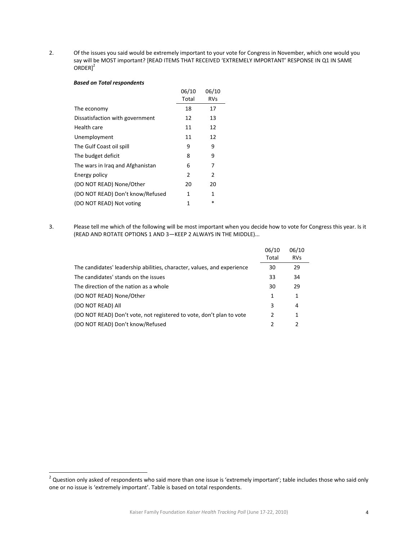l

2. Of the issues you said would be extremely important to your vote for Congress in November, which one would you say will be MOST important? [READ ITEMS THAT RECEIVED 'EXTREMELY IMPORTANT' RESPONSE IN Q1 IN SAME  $ORDER]^2$ 

#### *Based on Total respondents*

|                                  | 06/10 | 06/10      |
|----------------------------------|-------|------------|
|                                  | Total | <b>RVs</b> |
| The economy                      | 18    | 17         |
| Dissatisfaction with government  | 12    | 13         |
| Health care                      | 11    | 12         |
| Unemployment                     | 11    | 12         |
| The Gulf Coast oil spill         | 9     | 9          |
| The budget deficit               | 8     | 9          |
| The wars in Iraq and Afghanistan | 6     | 7          |
| Energy policy                    | 2     | 2          |
| (DO NOT READ) None/Other         | 20    | 20         |
| (DO NOT READ) Don't know/Refused | 1     | 1          |
| (DO NOT READ) Not voting         | 1     | *          |
|                                  |       |            |

3. Please tell me which of the following will be most important when you decide how to vote for Congress this year. Is it (READ AND ROTATE OPTIONS 1 AND 3—KEEP 2 ALWAYS IN THE MIDDLE)...

|                                                                         | 06/10<br>Total | 06/10<br><b>RVs</b> |
|-------------------------------------------------------------------------|----------------|---------------------|
| The candidates' leadership abilities, character, values, and experience | 30             | 29                  |
| The candidates' stands on the issues                                    | 33             | 34                  |
| The direction of the nation as a whole                                  | 30             | 29                  |
| (DO NOT READ) None/Other                                                | 1              | 1                   |
| (DO NOT READ) All                                                       | 3              | 4                   |
| (DO NOT READ) Don't vote, not registered to vote, don't plan to vote    | 2              | 1                   |
| (DO NOT READ) Don't know/Refused                                        |                |                     |

<sup>&</sup>lt;sup>2</sup> Question only asked of respondents who said more than one issue is 'extremely important'; table includes those who said only one or no issue is 'extremely important'. Table is based on total respondents.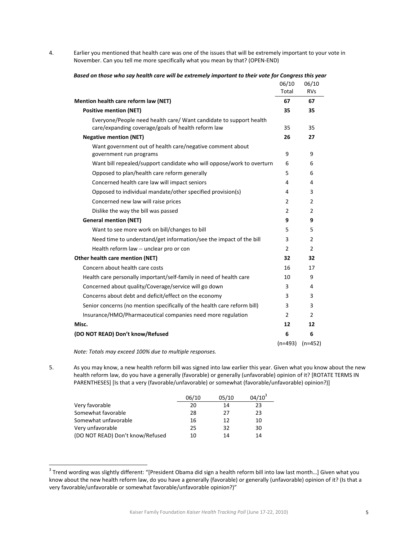$\overline{\phantom{a}}$ 

4. Earlier you mentioned that health care was one of the issues that will be extremely important to your vote in November. Can you tell me more specifically what you mean by that? (OPEN‐END)

|                                                                                      | 06/10<br>Total | 06/10<br><b>RVs</b> |
|--------------------------------------------------------------------------------------|----------------|---------------------|
| Mention health care reform law (NET)                                                 | 67             | 67                  |
| <b>Positive mention (NET)</b>                                                        | 35             | 35                  |
| Everyone/People need health care/ Want candidate to support health                   |                |                     |
| care/expanding coverage/goals of health reform law                                   | 35             | 35                  |
| <b>Negative mention (NET)</b>                                                        | 26             | 27                  |
| Want government out of health care/negative comment about<br>government run programs | 9              | 9                   |
| Want bill repealed/support candidate who will oppose/work to overturn                | 6              | 6                   |
| Opposed to plan/health care reform generally                                         | 5              | 6                   |
| Concerned health care law will impact seniors                                        | 4              | 4                   |
| Opposed to individual mandate/other specified provision(s)                           | 4              | 3                   |
| Concerned new law will raise prices                                                  | $\overline{2}$ | $\overline{2}$      |
| Dislike the way the bill was passed                                                  | 2              | 2                   |
| <b>General mention (NET)</b>                                                         | 9              | 9                   |
| Want to see more work on bill/changes to bill                                        | 5              | 5                   |
| Need time to understand/get information/see the impact of the bill                   | 3              | 2                   |
| Health reform law -- unclear pro or con                                              | 2              | 2                   |
| Other health care mention (NET)                                                      | 32             | 32                  |
| Concern about health care costs                                                      | 16             | 17                  |
| Health care personally important/self-family in need of health care                  | 10             | 9                   |
| Concerned about quality/Coverage/service will go down                                | 3              | 4                   |
| Concerns about debt and deficit/effect on the economy                                | 3              | 3                   |
| Senior concerns (no mention specifically of the health care reform bill)             | 3              | 3                   |
| Insurance/HMO/Pharmaceutical companies need more regulation                          | 2              | 2                   |
| Misc.                                                                                | 12             | 12                  |
| (DO NOT READ) Don't know/Refused                                                     | 6              | 6                   |
|                                                                                      | $(n=493)$      | $(n=452)$           |

Based on those who say health care will be extremely important to their vote for Congress this year

*Note: Totals may exceed 100% due to multiple responses.* 

5. As you may know, a new health reform bill was signed into law earlier this year. Given what you know about the new health reform law, do you have a generally (favorable) or generally (unfavorable) opinion of it? [ROTATE TERMS IN PARENTHESES] [Is that a very (favorable/unfavorable) or somewhat (favorable/unfavorable) opinion?)]

|                                  | 06/10 | 05/10 | $04/10^3$ |
|----------------------------------|-------|-------|-----------|
| Very favorable                   | 20    | 14    | 23        |
| Somewhat favorable               | 28    | 27    | 23        |
| Somewhat unfavorable             | 16    | 12    | 10        |
| Very unfavorable                 | 25    | 32    | 30        |
| (DO NOT READ) Don't know/Refused | 10    | 14    | 14        |

<sup>&</sup>lt;sup>3</sup> Trend wording was slightly different: "[President Obama did sign a health reform bill into law last month...] Given what you know about the new health reform law, do you have a generally (favorable) or generally (unfavorable) opinion of it? (Is that a very favorable/unfavorable or somewhat favorable/unfavorable opinion?)"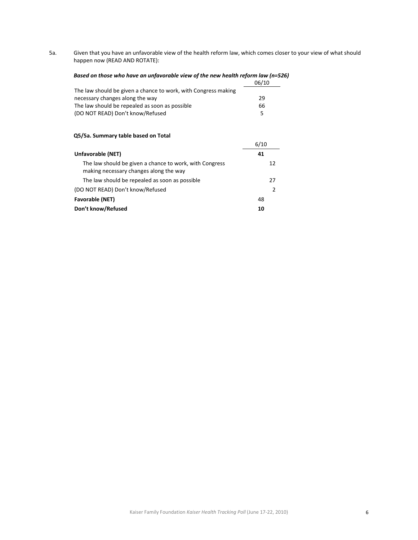5a. Given that you have an unfavorable view of the health reform law, which comes closer to your view of what should happen now (READ AND ROTATE):

# *Based on those who have an unfavorable view of the new health reform law (n=526)*

|                                                                | 06/10 |
|----------------------------------------------------------------|-------|
| The law should be given a chance to work, with Congress making |       |
| necessary changes along the way                                | 29    |
| The law should be repealed as soon as possible                 | 66    |
| (DO NOT READ) Don't know/Refused                               | 5.    |

#### **Q5/5a. Summary table based on Total**

|                                                                                                   | 6/10 |
|---------------------------------------------------------------------------------------------------|------|
| Unfavorable (NET)                                                                                 | 41   |
| The law should be given a chance to work, with Congress<br>making necessary changes along the way | 12   |
| The law should be repealed as soon as possible                                                    | 27   |
| (DO NOT READ) Don't know/Refused                                                                  | 2    |
| <b>Favorable (NET)</b>                                                                            | 48   |
| Don't know/Refused                                                                                | 10   |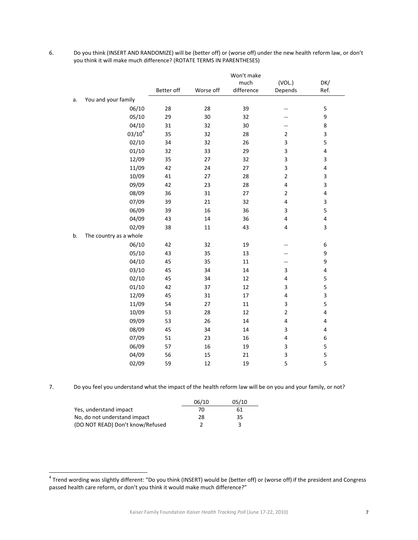|    |                        |            |           | Won't make |                          |                         |
|----|------------------------|------------|-----------|------------|--------------------------|-------------------------|
|    |                        |            |           | much       | (VOL.)                   | DK/                     |
|    |                        | Better off | Worse off | difference | Depends                  | Ref.                    |
| a. | You and your family    |            |           |            |                          |                         |
|    | 06/10                  | 28         | 28        | 39         | --                       | 5                       |
|    | 05/10                  | 29         | 30        | 32         | $--$                     | 9                       |
|    | 04/10                  | 31         | 32        | 30         | $\overline{\phantom{a}}$ | 8                       |
|    | $03/10^4$              | 35         | 32        | 28         | $\overline{2}$           | 3                       |
|    | 02/10                  | 34         | 32        | 26         | 3                        | 5                       |
|    | 01/10                  | 32         | 33        | 29         | 3                        | $\overline{\mathbf{4}}$ |
|    | 12/09                  | 35         | 27        | 32         | 3                        | 3                       |
|    | 11/09                  | 42         | 24        | 27         | 3                        | 4                       |
|    | 10/09                  | 41         | 27        | 28         | $\overline{2}$           | $\mathsf 3$             |
|    | 09/09                  | 42         | 23        | 28         | 4                        | $\overline{\mathbf{3}}$ |
|    | 08/09                  | 36         | 31        | 27         | $\overline{2}$           | $\overline{\mathbf{4}}$ |
|    | 07/09                  | 39         | 21        | 32         | 4                        | $\overline{\mathbf{3}}$ |
|    | 06/09                  | 39         | 16        | 36         | 3                        | 5                       |
|    | 04/09                  | 43         | 14        | 36         | 4                        | $\pmb{4}$               |
|    | 02/09                  | 38         | 11        | 43         | 4                        | 3                       |
| b. | The country as a whole |            |           |            |                          |                         |
|    | 06/10                  | 42         | 32        | 19         | --                       | 6                       |
|    | 05/10                  | 43         | 35        | 13         | --                       | 9                       |
|    | 04/10                  | 45         | 35        | 11         | --                       | 9                       |
|    | 03/10                  | 45         | 34        | 14         | 3                        | $\overline{\mathbf{4}}$ |
|    | 02/10                  | 45         | 34        | 12         | 4                        | 5                       |
|    | 01/10                  | 42         | 37        | 12         | 3                        | 5                       |
|    | 12/09                  | 45         | 31        | 17         | 4                        | 3                       |
|    | 11/09                  | 54         | 27        | $11\,$     | 3                        | 5                       |
|    | 10/09                  | 53         | 28        | 12         | $\overline{2}$           | $\overline{\mathbf{4}}$ |
|    | 09/09                  | 53         | 26        | 14         | 4                        | 4                       |
|    | 08/09                  | 45         | 34        | 14         | 3                        | 4                       |
|    | 07/09                  | 51         | 23        | 16         | 4                        | 6                       |
|    | 06/09                  | 57         | 16        | 19         | 3                        | 5                       |
|    | 04/09                  | 56         | 15        | 21         | 3                        | 5                       |
|    | 02/09                  | 59         | 12        | 19         | 5                        | 5                       |

6. Do you think (INSERT AND RANDOMIZE) will be (better off) or (worse off) under the new health reform law, or don't you think it will make much difference? (ROTATE TERMS IN PARENTHESES)

7. Do you feel you understand what the impact of the health reform law will be on you and your family, or not?

|                                  | 06/10 | 05/10 |
|----------------------------------|-------|-------|
| Yes, understand impact           | 70    | 61    |
| No, do not understand impact     | 28    | 35    |
| (DO NOT READ) Don't know/Refused |       |       |

l

 $^4$  Trend wording was slightly different: "Do you think (INSERT) would be (better off) or (worse off) if the president and Congress passed health care reform, or don't you think it would make much difference?"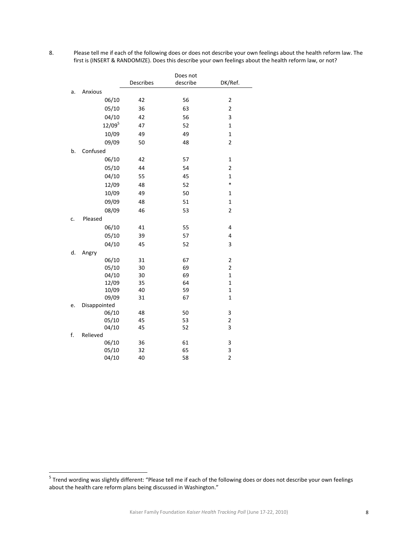l

8. Please tell me if each of the following does or does not describe your own feelings about the health reform law. The first is (INSERT & RANDOMIZE). Does this describe your own feelings about the health reform law, or not?

|    |                |                  | Does not |                              |
|----|----------------|------------------|----------|------------------------------|
|    |                | <b>Describes</b> | describe | DK/Ref.                      |
| a. | Anxious        |                  |          |                              |
|    | 06/10          | 42               | 56       | 2                            |
|    | 05/10          | 36               | 63       | 2                            |
|    | 04/10          | 42               | 56       | 3                            |
|    | $12/09^{5}$    | 47               | 52       | $\mathbf{1}$                 |
|    | 10/09          | 49               | 49       | $\mathbf{1}$                 |
|    | 09/09          | 50               | 48       | $\overline{2}$               |
| b. | Confused       |                  |          |                              |
|    | 06/10          | 42               | 57       | $\mathbf{1}$                 |
|    | 05/10          | 44               | 54       | $\overline{2}$               |
|    | 04/10          | 55               | 45       | $\mathbf{1}$                 |
|    | 12/09          | 48               | 52       | $\ast$                       |
|    | 10/09          | 49               | 50       | $\mathbf{1}$                 |
|    | 09/09          | 48               | 51       | $\mathbf{1}$                 |
|    | 08/09          | 46               | 53       | $\overline{\mathbf{c}}$      |
| c. | Pleased        |                  |          |                              |
|    | 06/10          | 41               | 55       | 4                            |
|    | 05/10          | 39               | 57       | 4                            |
|    | 04/10          | 45               | 52       | 3                            |
| d. | Angry          |                  |          |                              |
|    | 06/10          | 31               | 67       | 2                            |
|    | 05/10          | 30               | 69       | $\overline{c}$               |
|    | 04/10          | 30               | 69       | $\mathbf{1}$                 |
|    | 12/09          | 35               | 64       | $\mathbf{1}$                 |
|    | 10/09          | 40               | 59       | $\mathbf{1}$                 |
|    | 09/09          | 31               | 67       | $\mathbf{1}$                 |
| e. | Disappointed   |                  | 50       |                              |
|    | 06/10<br>05/10 | 48<br>45         | 53       | 3<br>$\overline{\mathbf{c}}$ |
|    | 04/10          | 45               | 52       | 3                            |
| f. | Relieved       |                  |          |                              |
|    | 06/10          | 36               | 61       | 3                            |
|    | 05/10          | 32               | 65       | 3                            |
|    | 04/10          | 40               | 58       | $\overline{2}$               |

 $^5$  Trend wording was slightly different: "Please tell me if each of the following does or does not describe your own feelings about the health care reform plans being discussed in Washington."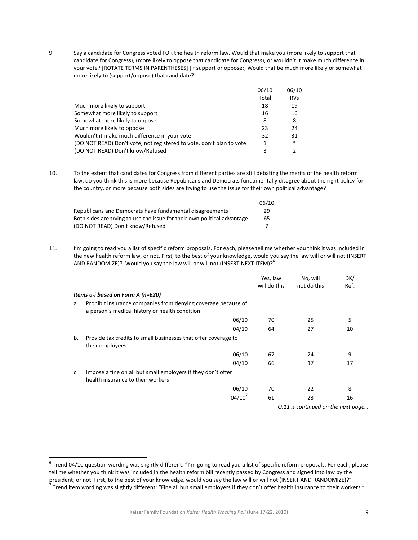9. Say a candidate for Congress voted FOR the health reform law. Would that make you (more likely to support that candidate for Congress), (more likely to oppose that candidate for Congress), or wouldn't it make much difference in your vote? [ROTATE TERMS IN PARENTHESES] [If support or oppose:] Would that be much more likely or somewhat more likely to (support/oppose) that candidate?

|                                                                      | 06/10 | 06/10         |
|----------------------------------------------------------------------|-------|---------------|
|                                                                      | Total | <b>RVs</b>    |
| Much more likely to support                                          | 18    | 19            |
| Somewhat more likely to support                                      | 16    | 16            |
| Somewhat more likely to oppose                                       | 8     | 8             |
| Much more likely to oppose                                           | 23    | 24            |
| Wouldn't it make much difference in your vote                        | 32    | 31            |
| (DO NOT READ) Don't vote, not registered to vote, don't plan to vote | 1     | $\ast$        |
| (DO NOT READ) Don't know/Refused                                     | ς     | $\mathcal{P}$ |

10. To the extent that candidates for Congress from different parties are still debating the merits of the health reform law, do you think this is more because Republicans and Democrats fundamentally disagree about the right policy for the country, or more because both sides are trying to use the issue for their own political advantage?

|                                                                          | 06/10 |  |
|--------------------------------------------------------------------------|-------|--|
| Republicans and Democrats have fundamental disagreements                 | 29    |  |
| Both sides are trying to use the issue for their own political advantage | 65    |  |
| (DO NOT READ) Don't know/Refused                                         |       |  |

11. I'm going to read you a list of specific reform proposals. For each, please tell me whether you think it was included in the new health reform law, or not. First, to the best of your knowledge, would you say the law will or will not (INSERT AND RANDOMIZE)? Would you say the law will or will not (INSERT NEXT ITEM)?<sup>6</sup>

|    |                                                                                                                 | Yes, law<br>will do this | No, will<br>not do this                    | DK/<br>Ref. |
|----|-----------------------------------------------------------------------------------------------------------------|--------------------------|--------------------------------------------|-------------|
|    | Items a-i based on Form A (n=620)                                                                               |                          |                                            |             |
| a. | Prohibit insurance companies from denying coverage because of<br>a person's medical history or health condition |                          |                                            |             |
|    | 06/10                                                                                                           | 70                       | 25                                         | 5           |
|    | 04/10                                                                                                           | 64                       | 27                                         | 10          |
| b. | Provide tax credits to small businesses that offer coverage to<br>their employees                               |                          |                                            |             |
|    | 06/10                                                                                                           | 67                       | 24                                         | 9           |
|    | 04/10                                                                                                           | 66                       | 17                                         | 17          |
| c. | Impose a fine on all but small employers if they don't offer<br>health insurance to their workers               |                          |                                            |             |
|    | 06/10                                                                                                           | 70                       | 22                                         | 8           |
|    | 04/10'                                                                                                          | 61                       | 23<br>$0.11$ is continued on the next neas | 16          |

*Q.11 is continued on the next page…*

l

 $6$  Trend 04/10 question wording was slightly different: "I'm going to read you a list of specific reform proposals. For each, please tell me whether you think it was included in the health reform bill recently passed by Congress and signed into law by the president, or not. First, to the best of your knowledge, would you say the law will or will not (INSERT AND RANDOMIZE)?"<br>Trend item wording was slightly different: "Fine all but small employers if they don't offer health i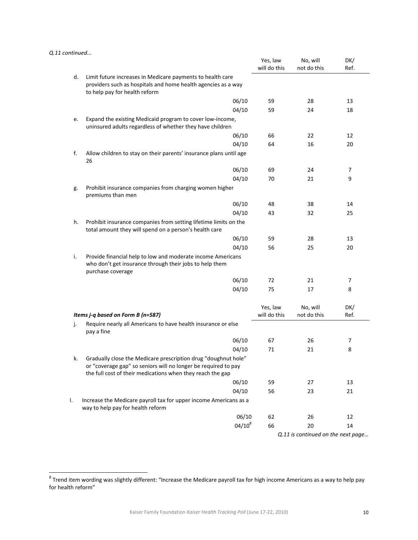#### *Q.11 continued...*

l

|    |                                                                                                                                                                                                | Yes, law<br>will do this | No, will<br>not do this | DK/<br>Ref. |
|----|------------------------------------------------------------------------------------------------------------------------------------------------------------------------------------------------|--------------------------|-------------------------|-------------|
| d. | Limit future increases in Medicare payments to health care<br>providers such as hospitals and home health agencies as a way<br>to help pay for health reform                                   |                          |                         |             |
|    | 06/10                                                                                                                                                                                          | 59                       | 28                      | 13          |
|    | 04/10                                                                                                                                                                                          | 59                       | 24                      | 18          |
| e. | Expand the existing Medicaid program to cover low-income,<br>uninsured adults regardless of whether they have children                                                                         |                          |                         |             |
|    | 06/10                                                                                                                                                                                          | 66                       | 22                      | 12          |
|    | 04/10                                                                                                                                                                                          | 64                       | 16                      | 20          |
| f. | Allow children to stay on their parents' insurance plans until age<br>26                                                                                                                       |                          |                         |             |
|    | 06/10                                                                                                                                                                                          | 69                       | 24                      | 7           |
|    | 04/10                                                                                                                                                                                          | 70                       | 21                      | 9           |
| g. | Prohibit insurance companies from charging women higher<br>premiums than men                                                                                                                   |                          |                         |             |
|    | 06/10                                                                                                                                                                                          | 48                       | 38                      | 14          |
|    | 04/10                                                                                                                                                                                          | 43                       | 32                      | 25          |
| h. | Prohibit insurance companies from setting lifetime limits on the<br>total amount they will spend on a person's health care                                                                     |                          |                         |             |
|    | 06/10                                                                                                                                                                                          | 59                       | 28                      | 13          |
|    | 04/10                                                                                                                                                                                          | 56                       | 25                      | 20          |
| i. | Provide financial help to low and moderate income Americans<br>who don't get insurance through their jobs to help them<br>purchase coverage                                                    |                          |                         |             |
|    | 06/10                                                                                                                                                                                          | 72                       | 21                      | 7           |
|    | 04/10                                                                                                                                                                                          | 75                       | 17                      | 8           |
|    | Items j-q based on Form B (n=587)                                                                                                                                                              | Yes, law<br>will do this | No, will<br>not do this | DK/<br>Ref. |
| j. | Require nearly all Americans to have health insurance or else<br>pay a fine                                                                                                                    |                          |                         |             |
|    | 06/10                                                                                                                                                                                          | 67                       | 26                      | 7           |
|    | 04/10                                                                                                                                                                                          | 71                       | 21                      | 8           |
| k. | Gradually close the Medicare prescription drug "doughnut hole"<br>or "coverage gap" so seniors will no longer be required to pay<br>the full cost of their medications when they reach the gap |                          |                         |             |
|    | 06/10                                                                                                                                                                                          | 59                       | 27                      | 13          |
|    |                                                                                                                                                                                                |                          |                         |             |
|    | 04/10                                                                                                                                                                                          | 56                       | 23                      | 21          |
| Ι. | Increase the Medicare payroll tax for upper income Americans as a<br>way to help pay for health reform                                                                                         |                          |                         |             |
|    | 06/10                                                                                                                                                                                          | 62                       | 26                      | 12          |

 $^8$  Trend item wording was slightly different: "Increase the Medicare payroll tax for high income Americans as a way to help pay for health reform"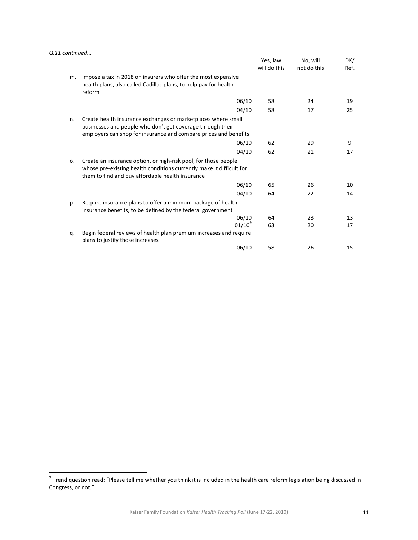*Q.11 continued...* 

l

|    |                                                                                                                                                                                                 | Yes, law<br>will do this | No, will<br>not do this | DK/<br>Ref. |  |
|----|-------------------------------------------------------------------------------------------------------------------------------------------------------------------------------------------------|--------------------------|-------------------------|-------------|--|
| m. | Impose a tax in 2018 on insurers who offer the most expensive<br>health plans, also called Cadillac plans, to help pay for health<br>reform                                                     |                          |                         |             |  |
|    | 06/10                                                                                                                                                                                           | 58                       | 24                      | 19          |  |
|    | 04/10                                                                                                                                                                                           | 58                       | 17                      | 25          |  |
| n. | Create health insurance exchanges or marketplaces where small<br>businesses and people who don't get coverage through their<br>employers can shop for insurance and compare prices and benefits |                          |                         |             |  |
|    | 06/10                                                                                                                                                                                           | 62                       | 29                      | 9           |  |
|    | 04/10                                                                                                                                                                                           | 62                       | 21                      | 17          |  |
| 0. | Create an insurance option, or high-risk pool, for those people<br>whose pre-existing health conditions currently make it difficult for<br>them to find and buy affordable health insurance     |                          |                         |             |  |
|    | 06/10                                                                                                                                                                                           | 65                       | 26                      | 10          |  |
|    | 04/10                                                                                                                                                                                           | 64                       | 22                      | 14          |  |
| p. | Require insurance plans to offer a minimum package of health<br>insurance benefits, to be defined by the federal government                                                                     |                          |                         |             |  |
|    | 06/10                                                                                                                                                                                           | 64                       | 23                      | 13          |  |
|    | $01/10^{9}$                                                                                                                                                                                     | 63                       | 20                      | 17          |  |
| q. | Begin federal reviews of health plan premium increases and require<br>plans to justify those increases                                                                                          |                          |                         |             |  |
|    | 06/10                                                                                                                                                                                           | 58                       | 26                      | 15          |  |

 $^9$  Trend question read: "Please tell me whether you think it is included in the health care reform legislation being discussed in Congress, or not."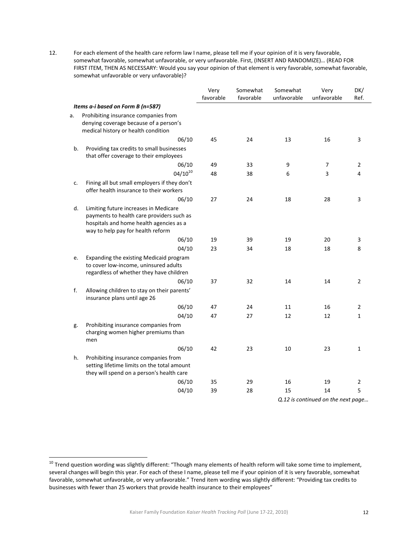12. For each element of the health care reform law I name, please tell me if your opinion of it is very favorable, somewhat favorable, somewhat unfavorable, or very unfavorable. First, (INSERT AND RANDOMIZE)… (READ FOR FIRST ITEM, THEN AS NECESSARY: Would you say your opinion of that element is very favorable, somewhat favorable, somewhat unfavorable or very unfavorable)?

|    |                                                                                                                                                                    | Very<br>favorable | Somewhat<br>favorable | Somewhat<br>unfavorable | Very<br>unfavorable                | DK/<br>Ref.    |
|----|--------------------------------------------------------------------------------------------------------------------------------------------------------------------|-------------------|-----------------------|-------------------------|------------------------------------|----------------|
|    | Items a-i based on Form B (n=587)                                                                                                                                  |                   |                       |                         |                                    |                |
| a. | Prohibiting insurance companies from<br>denying coverage because of a person's<br>medical history or health condition                                              |                   |                       |                         |                                    |                |
|    | 06/10                                                                                                                                                              | 45                | 24                    | 13                      | 16                                 | 3              |
| b. | Providing tax credits to small businesses<br>that offer coverage to their employees                                                                                |                   |                       |                         |                                    |                |
|    | 06/10                                                                                                                                                              | 49                | 33                    | 9                       | 7                                  | 2              |
|    | $04/10^{10}$                                                                                                                                                       | 48                | 38                    | 6                       | 3                                  | 4              |
| c. | Fining all but small employers if they don't<br>offer health insurance to their workers                                                                            |                   |                       |                         |                                    |                |
|    | 06/10                                                                                                                                                              | 27                | 24                    | 18                      | 28                                 | 3              |
| d. | Limiting future increases in Medicare<br>payments to health care providers such as<br>hospitals and home health agencies as a<br>way to help pay for health reform |                   |                       |                         |                                    |                |
|    | 06/10                                                                                                                                                              | 19                | 39                    | 19                      | 20                                 | 3              |
|    | 04/10                                                                                                                                                              | 23                | 34                    | 18                      | 18                                 | 8              |
| e. | Expanding the existing Medicaid program<br>to cover low-income, uninsured adults<br>regardless of whether they have children                                       |                   |                       |                         |                                    |                |
|    | 06/10                                                                                                                                                              | 37                | 32                    | 14                      | 14                                 | $\overline{2}$ |
| f. | Allowing children to stay on their parents'<br>insurance plans until age 26                                                                                        |                   |                       |                         |                                    |                |
|    | 06/10                                                                                                                                                              | 47                | 24                    | 11                      | 16                                 | 2              |
|    | 04/10                                                                                                                                                              | 47                | 27                    | 12                      | 12                                 | $\mathbf{1}$   |
| g. | Prohibiting insurance companies from<br>charging women higher premiums than<br>men                                                                                 |                   |                       |                         |                                    |                |
|    | 06/10                                                                                                                                                              | 42                | 23                    | 10                      | 23                                 | 1              |
| h. | Prohibiting insurance companies from<br>setting lifetime limits on the total amount<br>they will spend on a person's health care                                   |                   |                       |                         |                                    |                |
|    | 06/10                                                                                                                                                              | 35                | 29                    | 16                      | 19                                 | $\overline{2}$ |
|    | 04/10                                                                                                                                                              | 39                | 28                    | 15                      | 14                                 | 5              |
|    |                                                                                                                                                                    |                   |                       |                         | Q.12 is continued on the next page |                |

l

12

<sup>&</sup>lt;sup>10</sup> Trend question wording was slightly different: "Though many elements of health reform will take some time to implement, several changes will begin this year. For each of these I name, please tell me if your opinion of it is very favorable, somewhat favorable, somewhat unfavorable, or very unfavorable." Trend item wording was slightly different: "Providing tax credits to businesses with fewer than 25 workers that provide health insurance to their employees"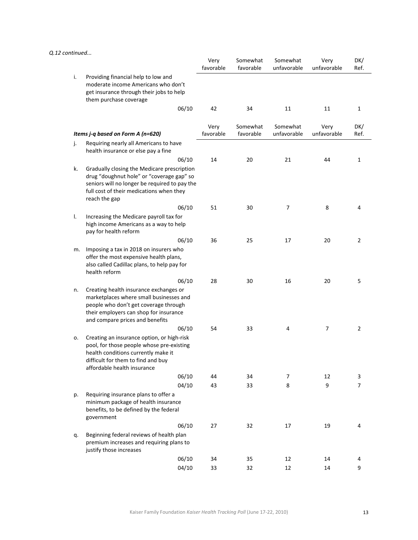#### *Q.12 continued...*

|    |                                                                                                                                                                                                         | Very<br>favorable | Somewhat<br>favorable | Somewhat<br>unfavorable | Very<br>unfavorable | DK/<br>Ref.    |
|----|---------------------------------------------------------------------------------------------------------------------------------------------------------------------------------------------------------|-------------------|-----------------------|-------------------------|---------------------|----------------|
| i. | Providing financial help to low and<br>moderate income Americans who don't<br>get insurance through their jobs to help<br>them purchase coverage                                                        |                   |                       |                         |                     |                |
|    | 06/10                                                                                                                                                                                                   | 42                | 34                    | 11                      | 11                  | $\mathbf{1}$   |
|    | Items j-q based on Form A (n=620)                                                                                                                                                                       | Very<br>favorable | Somewhat<br>favorable | Somewhat<br>unfavorable | Very<br>unfavorable | DK/<br>Ref.    |
| j. | Requiring nearly all Americans to have                                                                                                                                                                  |                   |                       |                         |                     |                |
|    | health insurance or else pay a fine<br>06/10                                                                                                                                                            | 14                | 20                    | 21                      | 44                  | $\mathbf{1}$   |
| k. | Gradually closing the Medicare prescription<br>drug "doughnut hole" or "coverage gap" so<br>seniors will no longer be required to pay the<br>full cost of their medications when they<br>reach the gap  |                   |                       |                         |                     |                |
|    | 06/10                                                                                                                                                                                                   | 51                | 30                    | 7                       | 8                   | 4              |
| I. | Increasing the Medicare payroll tax for<br>high income Americans as a way to help<br>pay for health reform                                                                                              |                   |                       |                         |                     |                |
|    | 06/10                                                                                                                                                                                                   | 36                | 25                    | 17                      | 20                  | $\overline{2}$ |
| m. | Imposing a tax in 2018 on insurers who<br>offer the most expensive health plans,<br>also called Cadillac plans, to help pay for<br>health reform                                                        |                   |                       |                         |                     |                |
|    | 06/10                                                                                                                                                                                                   | 28                | 30                    | 16                      | 20                  | 5              |
| n. | Creating health insurance exchanges or<br>marketplaces where small businesses and<br>people who don't get coverage through<br>their employers can shop for insurance<br>and compare prices and benefits |                   |                       |                         |                     |                |
|    | 06/10                                                                                                                                                                                                   | 54                | 33                    | 4                       | 7                   | $\overline{2}$ |
| ο. | Creating an insurance option, or high-risk<br>pool, for those people whose pre-existing<br>health conditions currently make it<br>difficult for them to find and buy<br>affordable health insurance     |                   |                       |                         |                     |                |
|    | 06/10                                                                                                                                                                                                   | 44                | 34                    | 7                       | 12                  | 3              |
| p. | 04/10<br>Requiring insurance plans to offer a<br>minimum package of health insurance<br>benefits, to be defined by the federal<br>government                                                            | 43                | 33                    | 8                       | 9                   | $\overline{7}$ |
|    | 06/10                                                                                                                                                                                                   | 27                | 32                    | 17                      | 19                  | 4              |
| q. | Beginning federal reviews of health plan<br>premium increases and requiring plans to<br>justify those increases                                                                                         |                   |                       |                         |                     |                |
|    | 06/10                                                                                                                                                                                                   | 34                | 35                    | 12                      | 14                  | 4              |
|    | 04/10                                                                                                                                                                                                   | 33                | 32                    | 12                      | 14                  | 9              |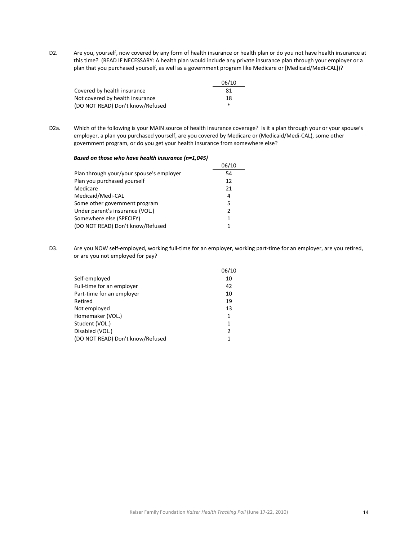D2. Are you, yourself, now covered by any form of health insurance or health plan or do you not have health insurance at this time? (READ IF NECESSARY: A health plan would include any private insurance plan through your employer or a plan that you purchased yourself, as well as a government program like Medicare or [Medicaid/Medi‐CAL])?

|                                  | 06/10 |
|----------------------------------|-------|
| Covered by health insurance      | 81    |
| Not covered by health insurance  | 18    |
| (DO NOT READ) Don't know/Refused | *     |

D2a. Which of the following is your MAIN source of health insurance coverage? Is it a plan through your or your spouse's employer, a plan you purchased yourself, are you covered by Medicare or (Medicaid/Medi‐CAL), some other government program, or do you get your health insurance from somewhere else?

#### *Based on those who have health insurance (n=1,045)*

|                                          | 06/10         |
|------------------------------------------|---------------|
| Plan through your/your spouse's employer | 54            |
| Plan you purchased yourself              | 12            |
| Medicare                                 | 21            |
| Medicaid/Medi-CAL                        | 4             |
| Some other government program            | 5             |
| Under parent's insurance (VOL.)          | $\mathcal{P}$ |
| Somewhere else (SPECIFY)                 | 1             |
| (DO NOT READ) Don't know/Refused         |               |
|                                          |               |

D3. Are you NOW self-employed, working full-time for an employer, working part-time for an employer, are you retired, or are you not employed for pay?

|                                  | 06/10 |
|----------------------------------|-------|
| Self-employed                    | 10    |
| Full-time for an employer        | 42    |
| Part-time for an employer        | 10    |
| Retired                          | 19    |
| Not employed                     | 13    |
| Homemaker (VOL.)                 | 1     |
| Student (VOL.)                   | 1     |
| Disabled (VOL.)                  | 2     |
| (DO NOT READ) Don't know/Refused | 1     |
|                                  |       |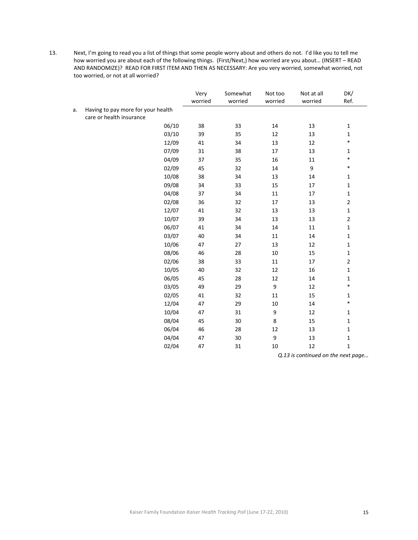13. Next, I'm going to read you a list of things that some people worry about and others do not. I'd like you to tell me how worried you are about each of the following things. (First/Next,) how worried are you about… (INSERT – READ AND RANDOMIZE)? READ FOR FIRST ITEM AND THEN AS NECESSARY: Are you very worried, somewhat worried, not too worried, or not at all worried?

|    |                                    | Very    | Somewhat | Not too          | Not at all | DK/                    |
|----|------------------------------------|---------|----------|------------------|------------|------------------------|
|    |                                    | worried | worried  | worried          | worried    | Ref.                   |
| a. | Having to pay more for your health |         |          |                  |            |                        |
|    | care or health insurance<br>06/10  |         |          |                  |            |                        |
|    |                                    | 38      | 33       | 14               | 13         | $\mathbf{1}$           |
|    | 03/10                              | 39      | 35       | 12               | 13         | $\mathbf{1}$<br>$\ast$ |
|    | 12/09                              | 41      | 34       | 13               | 12         |                        |
|    | 07/09                              | 31      | 38       | 17               | 13         | $\mathbf{1}$<br>$\ast$ |
|    | 04/09                              | 37      | 35       | 16               | 11         | $\ast$                 |
|    | 02/09                              | 45      | 32       | $14\,$           | 9          |                        |
|    | 10/08                              | 38      | 34       | 13               | $14\,$     | $\mathbf{1}$           |
|    | 09/08                              | 34      | 33       | 15               | $17\,$     | $\mathbf 1$            |
|    | 04/08                              | 37      | 34       | $11\,$           | $17\,$     | $\mathbf 1$            |
|    | 02/08                              | 36      | 32       | $17\,$           | 13         | $\overline{2}$         |
|    | 12/07                              | 41      | 32       | 13               | 13         | $\mathbf{1}$           |
|    | 10/07                              | 39      | 34       | 13               | 13         | $\overline{2}$         |
|    | 06/07                              | 41      | 34       | 14               | $11\,$     | $\mathbf{1}$           |
|    | 03/07                              | 40      | 34       | 11               | 14         | $\mathbf{1}$           |
|    | 10/06                              | 47      | 27       | 13               | 12         | $\mathbf{1}$           |
|    | 08/06                              | 46      | 28       | 10               | 15         | $\mathbf{1}$           |
|    | 02/06                              | 38      | 33       | 11               | 17         | $\overline{2}$         |
|    | 10/05                              | 40      | 32       | 12               | 16         | $\mathbf{1}$           |
|    | 06/05                              | 45      | 28       | 12               | 14         | $\mathbf{1}$           |
|    | 03/05                              | 49      | 29       | $\boldsymbol{9}$ | $12\,$     | $\ast$                 |
|    | 02/05                              | 41      | 32       | 11               | 15         | $\mathbf{1}$           |
|    | 12/04                              | 47      | 29       | $10\,$           | $14\,$     | $\ast$                 |
|    | 10/04                              | 47      | 31       | 9                | 12         | $\mathbf{1}$           |
|    | 08/04                              | 45      | 30       | $\,$ 8 $\,$      | 15         | $\mathbf{1}$           |
|    | 06/04                              | 46      | 28       | 12               | 13         | $\mathbf 1$            |
|    | 04/04                              | 47      | 30       | 9                | 13         | $\mathbf{1}$           |
|    | 02/04                              | 47      | 31       | 10               | 12         | $\mathbf{1}$           |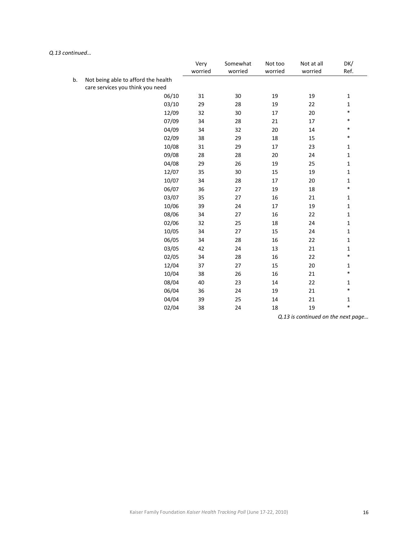|    |                                                                         | Very<br>worried | Somewhat<br>worried | Not too<br>worried | Not at all<br>worried | DK/<br>Ref.  |
|----|-------------------------------------------------------------------------|-----------------|---------------------|--------------------|-----------------------|--------------|
| b. | Not being able to afford the health<br>care services you think you need |                 |                     |                    |                       |              |
|    | 06/10                                                                   | 31              | 30                  | 19                 | 19                    | $\mathbf 1$  |
|    | 03/10                                                                   | 29              | 28                  | 19                 | 22                    | $\mathbf{1}$ |
|    | 12/09                                                                   | 32              | 30                  | 17                 | 20                    | $\ast$       |
|    | 07/09                                                                   | 34              | 28                  | 21                 | 17                    | $\ast$       |
|    | 04/09                                                                   | 34              | 32                  | 20                 | $14\,$                | $\ast$       |
|    | 02/09                                                                   | 38              | 29                  | 18                 | 15                    | $\ast$       |
|    | 10/08                                                                   | 31              | 29                  | 17                 | 23                    | $\mathbf{1}$ |
|    | 09/08                                                                   | 28              | 28                  | 20                 | 24                    | $\mathbf{1}$ |
|    | 04/08                                                                   | 29              | 26                  | 19                 | 25                    | $\mathbf{1}$ |
|    | 12/07                                                                   | 35              | 30                  | 15                 | 19                    | $\mathbf{1}$ |
|    | 10/07                                                                   | 34              | 28                  | 17                 | 20                    | $\mathbf{1}$ |
|    | 06/07                                                                   | 36              | 27                  | 19                 | 18                    | $\ast$       |
|    | 03/07                                                                   | 35              | 27                  | 16                 | 21                    | $\mathbf{1}$ |
|    | 10/06                                                                   | 39              | 24                  | 17                 | 19                    | $\mathbf 1$  |
|    | 08/06                                                                   | 34              | 27                  | 16                 | 22                    | $\mathbf{1}$ |
|    | 02/06                                                                   | 32              | 25                  | 18                 | 24                    | $\mathbf{1}$ |
|    | 10/05                                                                   | 34              | 27                  | 15                 | 24                    | $\mathbf{1}$ |
|    | 06/05                                                                   | 34              | 28                  | 16                 | 22                    | $\mathbf{1}$ |
|    | 03/05                                                                   | 42              | 24                  | 13                 | 21                    | $\mathbf 1$  |
|    | 02/05                                                                   | 34              | 28                  | 16                 | 22                    | $\ast$       |
|    | 12/04                                                                   | 37              | 27                  | 15                 | 20                    | $\mathbf 1$  |
|    | 10/04                                                                   | 38              | 26                  | 16                 | 21                    | $\ast$       |
|    | 08/04                                                                   | 40              | 23                  | 14                 | 22                    | $\mathbf{1}$ |
|    | 06/04                                                                   | 36              | 24                  | 19                 | 21                    | $\ast$       |
|    | 04/04                                                                   | 39              | 25                  | 14                 | 21                    | $\mathbf{1}$ |
|    | 02/04                                                                   | 38              | 24                  | 18                 | 19                    | $\ast$       |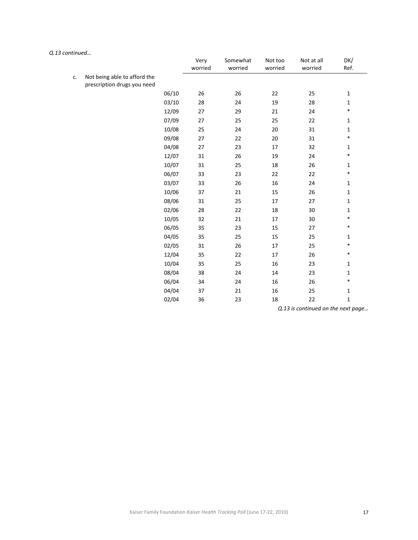|    |                                                             |       | Very<br>worried | Somewhat<br>worried | Not too<br>worried | Not at all<br>worried | DK/<br>Ref.  |
|----|-------------------------------------------------------------|-------|-----------------|---------------------|--------------------|-----------------------|--------------|
| c. | Not being able to afford the<br>prescription drugs you need |       |                 |                     |                    |                       |              |
|    |                                                             | 06/10 | 26              | 26                  | 22                 | 25                    | $\mathbf{1}$ |
|    |                                                             | 03/10 | 28              | 24                  | 19                 | 28                    | $\mathbf{1}$ |
|    |                                                             | 12/09 | 27              | 29                  | 21                 | 24                    | $\ast$       |
|    |                                                             | 07/09 | 27              | 25                  | 25                 | 22                    | $\mathbf{1}$ |
|    |                                                             | 10/08 | 25              | 24                  | 20                 | 31                    | $\mathbf{1}$ |
|    |                                                             | 09/08 | 27              | 22                  | 20                 | 31                    | $\ast$       |
|    |                                                             | 04/08 | 27              | 23                  | 17                 | 32                    | $\mathbf{1}$ |
|    |                                                             | 12/07 | 31              | 26                  | 19                 | 24                    | $\ast$       |
|    |                                                             | 10/07 | 31              | 25                  | 18                 | 26                    | $\mathbf 1$  |
|    |                                                             | 06/07 | 33              | 23                  | 22                 | 22                    | $\ast$       |
|    |                                                             | 03/07 | 33              | 26                  | 16                 | 24                    | $\mathbf 1$  |
|    |                                                             | 10/06 | 37              | 21                  | 15                 | 26                    | $\mathbf 1$  |
|    |                                                             | 08/06 | 31              | 25                  | 17                 | 27                    | $\mathbf 1$  |
|    |                                                             | 02/06 | 28              | 22                  | 18                 | 30                    | $\mathbf 1$  |
|    |                                                             | 10/05 | 32              | 21                  | 17                 | 30                    | $\ast$       |
|    |                                                             | 06/05 | 35              | 23                  | 15                 | 27                    | $\ast$       |
|    |                                                             | 04/05 | 35              | 25                  | 15                 | 25                    | $\mathbf 1$  |
|    |                                                             | 02/05 | 31              | 26                  | 17                 | 25                    | $\ast$       |
|    |                                                             | 12/04 | 35              | 22                  | 17                 | 26                    | $\ast$       |
|    |                                                             | 10/04 | 35              | 25                  | 16                 | 23                    | $\mathbf{1}$ |
|    |                                                             | 08/04 | 38              | 24                  | 14                 | 23                    | $\mathbf 1$  |
|    |                                                             | 06/04 | 34              | 24                  | 16                 | 26                    | $\ast$       |
|    |                                                             | 04/04 | 37              | 21                  | 16                 | 25                    | $\mathbf{1}$ |
|    |                                                             | 02/04 | 36              | 23                  | 18                 | 22                    | $\mathbf 1$  |
|    |                                                             |       |                 |                     |                    |                       |              |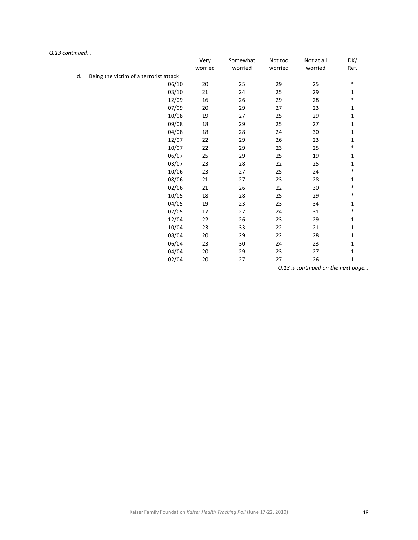|    |                                        | Very<br>worried | Somewhat<br>worried | Not too<br>worried | Not at all<br>worried | DK/<br>Ref.  |
|----|----------------------------------------|-----------------|---------------------|--------------------|-----------------------|--------------|
| d. | Being the victim of a terrorist attack |                 |                     |                    |                       |              |
|    | 06/10                                  | 20              | 25                  | 29                 | 25                    | $\ast$       |
|    | 03/10                                  | 21              | 24                  | 25                 | 29                    | $\mathbf{1}$ |
|    | 12/09                                  | 16              | 26                  | 29                 | 28                    | $\ast$       |
|    | 07/09                                  | 20              | 29                  | 27                 | 23                    | $\mathbf{1}$ |
|    | 10/08                                  | 19              | 27                  | 25                 | 29                    | 1            |
|    | 09/08                                  | 18              | 29                  | 25                 | 27                    | 1            |
|    | 04/08                                  | 18              | 28                  | 24                 | 30                    | $\mathbf{1}$ |
|    | 12/07                                  | 22              | 29                  | 26                 | 23                    | $\mathbf{1}$ |
|    | 10/07                                  | 22              | 29                  | 23                 | 25                    | $\ast$       |
|    | 06/07                                  | 25              | 29                  | 25                 | 19                    | $\mathbf{1}$ |
|    | 03/07                                  | 23              | 28                  | 22                 | 25                    | 1            |
|    | 10/06                                  | 23              | 27                  | 25                 | 24                    | $\ast$       |
|    | 08/06                                  | 21              | 27                  | 23                 | 28                    | 1            |
|    | 02/06                                  | 21              | 26                  | 22                 | 30                    | $\ast$       |
|    | 10/05                                  | 18              | 28                  | 25                 | 29                    | $\ast$       |
|    | 04/05                                  | 19              | 23                  | 23                 | 34                    | $\mathbf{1}$ |
|    | 02/05                                  | 17              | 27                  | 24                 | 31                    | $\ast$       |
|    | 12/04                                  | 22              | 26                  | 23                 | 29                    | $\mathbf{1}$ |
|    | 10/04                                  | 23              | 33                  | 22                 | 21                    | $\mathbf{1}$ |
|    | 08/04                                  | 20              | 29                  | 22                 | 28                    | 1            |
|    | 06/04                                  | 23              | 30                  | 24                 | 23                    | 1            |
|    | 04/04                                  | 20              | 29                  | 23                 | 27                    | $\mathbf{1}$ |
|    | 02/04                                  | 20              | 27                  | 27                 | 26                    | $\mathbf{1}$ |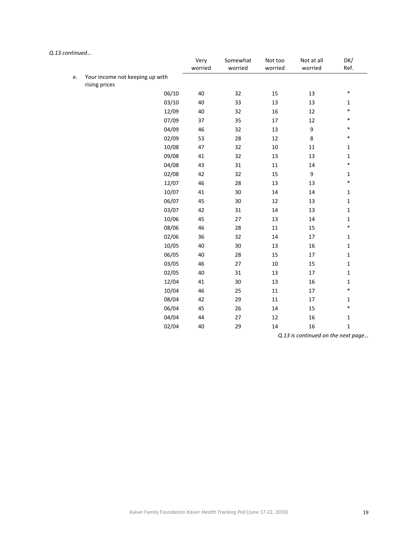|    |                                 | Very<br>worried | Somewhat<br>worried | Not too<br>worried | Not at all<br>worried              | DK/<br>Ref.  |
|----|---------------------------------|-----------------|---------------------|--------------------|------------------------------------|--------------|
| e. | Your income not keeping up with |                 |                     |                    |                                    |              |
|    | rising prices                   |                 |                     |                    |                                    |              |
|    | 06/10                           | 40              | 32                  | 15                 | 13                                 | $\ast$       |
|    | 03/10                           | 40              | 33                  | 13                 | 13                                 | $\mathbf 1$  |
|    | 12/09                           | 40              | 32                  | 16                 | 12                                 | $\ast$       |
|    | 07/09                           | 37              | 35                  | 17                 | 12                                 | $\ast$       |
|    | 04/09                           | 46              | 32                  | 13                 | $\boldsymbol{9}$                   | $\ast$       |
|    | 02/09                           | 53              | 28                  | 12                 | 8                                  | $\ast$       |
|    | 10/08                           | 47              | 32                  | 10                 | 11                                 | $\mathbf{1}$ |
|    | 09/08                           | 41              | 32                  | 13                 | 13                                 | 1            |
|    | 04/08                           | 43              | 31                  | 11                 | 14                                 | $\ast$       |
|    | 02/08                           | 42              | 32                  | 15                 | 9                                  | $\mathbf 1$  |
|    | 12/07                           | 46              | 28                  | 13                 | 13                                 | $\ast$       |
|    | 10/07                           | 41              | 30                  | 14                 | 14                                 | $\mathbf 1$  |
|    | 06/07                           | 45              | $30\,$              | 12                 | 13                                 | $\mathbf 1$  |
|    | 03/07                           | 42              | 31                  | 14                 | 13                                 | $\mathbf 1$  |
|    | 10/06                           | 45              | 27                  | 13                 | 14                                 | $\mathbf 1$  |
|    | 08/06                           | 46              | 28                  | 11                 | 15                                 | $\ast$       |
|    | 02/06                           | 36              | 32                  | 14                 | 17                                 | $\mathbf 1$  |
|    | 10/05                           | 40              | 30                  | 13                 | 16                                 | $\mathbf 1$  |
|    | 06/05                           | 40              | 28                  | 15                 | 17                                 | $\mathbf 1$  |
|    | 03/05                           | 46              | 27                  | 10                 | 15                                 | $\mathbf 1$  |
|    | 02/05                           | 40              | 31                  | 13                 | 17                                 | $\mathbf 1$  |
|    | 12/04                           | 41              | 30                  | 13                 | 16                                 | $\mathbf 1$  |
|    | 10/04                           | 46              | 25                  | 11                 | 17                                 | $\ast$       |
|    | 08/04                           | 42              | 29                  | 11                 | 17                                 | $\mathbf 1$  |
|    | 06/04                           | 45              | 26                  | 14                 | 15                                 | $\ast$       |
|    | 04/04                           | 44              | 27                  | 12                 | 16                                 | $\mathbf 1$  |
|    | 02/04                           | 40              | 29                  | 14                 | 16                                 | $\mathbf 1$  |
|    |                                 |                 |                     | 0.421              | المستقطع والمستنقط<br>$\mathbf{L}$ |              |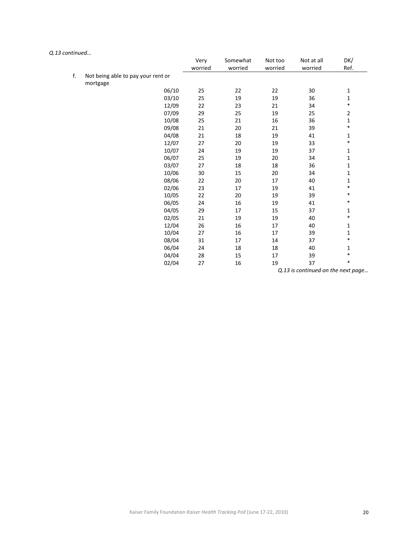|    |                                    | Very<br>worried | Somewhat<br>worried | Not too<br>worried | Not at all<br>worried | DK/<br>Ref.    |
|----|------------------------------------|-----------------|---------------------|--------------------|-----------------------|----------------|
| f. | Not being able to pay your rent or |                 |                     |                    |                       |                |
|    | mortgage                           |                 |                     |                    |                       |                |
|    | 06/10                              | 25              | 22                  | 22                 | 30                    | $\mathbf 1$    |
|    | 03/10                              | 25              | 19                  | 19                 | 36                    | $\mathbf{1}$   |
|    | 12/09                              | 22              | 23                  | 21                 | 34                    | $\ast$         |
|    | 07/09                              | 29              | 25                  | 19                 | 25                    | $\overline{2}$ |
|    | 10/08                              | 25              | 21                  | 16                 | 36                    | $\mathbf{1}$   |
|    | 09/08                              | 21              | 20                  | 21                 | 39                    | $\ast$         |
|    | 04/08                              | 21              | 18                  | 19                 | 41                    | 1              |
|    | 12/07                              | 27              | 20                  | 19                 | 33                    | $\ast$         |
|    | 10/07                              | 24              | 19                  | 19                 | 37                    | 1              |
|    | 06/07                              | 25              | 19                  | 20                 | 34                    | $\mathbf{1}$   |
|    | 03/07                              | 27              | 18                  | 18                 | 36                    | $\mathbf{1}$   |
|    | 10/06                              | 30              | 15                  | 20                 | 34                    | 1              |
|    | 08/06                              | 22              | 20                  | 17                 | 40                    | $\mathbf{1}$   |
|    | 02/06                              | 23              | 17                  | 19                 | 41                    | $\ast$         |
|    | 10/05                              | 22              | 20                  | 19                 | 39                    | $\ast$         |
|    | 06/05                              | 24              | 16                  | 19                 | 41                    | *              |
|    | 04/05                              | 29              | 17                  | 15                 | 37                    | 1              |
|    | 02/05                              | 21              | 19                  | 19                 | 40                    | $\ast$         |
|    | 12/04                              | 26              | 16                  | 17                 | 40                    | 1              |
|    | 10/04                              | 27              | 16                  | 17                 | 39                    | 1              |
|    | 08/04                              | 31              | 17                  | 14                 | 37                    | $\ast$         |
|    | 06/04                              | 24              | 18                  | 18                 | 40                    | 1              |
|    | 04/04                              | 28              | 15                  | 17                 | 39                    | $\ast$         |
|    | 02/04                              | 27              | 16                  | 19                 | 37                    | *              |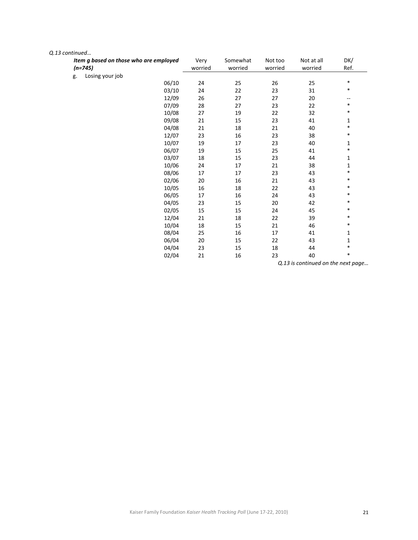| Item g based on those who are employed<br>$(n=745)$ | Very<br>worried | Somewhat<br>worried | Not too<br>worried | Not at all<br>worried | DK/<br>Ref.  |
|-----------------------------------------------------|-----------------|---------------------|--------------------|-----------------------|--------------|
| Losing your job<br>g.                               |                 |                     |                    |                       |              |
| 06/10                                               | 24              | 25                  | 26                 | 25                    | $\ast$       |
| 03/10                                               | 24              | 22                  | 23                 | 31                    | *            |
| 12/09                                               | 26              | 27                  | 27                 | 20                    | --           |
| 07/09                                               | 28              | 27                  | 23                 | 22                    | $\ast$       |
| 10/08                                               | 27              | 19                  | 22                 | 32                    | $\ast$       |
| 09/08                                               | 21              | 15                  | 23                 | 41                    | 1            |
| 04/08                                               | 21              | 18                  | 21                 | 40                    | $\ast$       |
| 12/07                                               | 23              | 16                  | 23                 | 38                    | $\ast$       |
| 10/07                                               | 19              | 17                  | 23                 | 40                    | $\mathbf{1}$ |
| 06/07                                               | 19              | 15                  | 25                 | 41                    | *            |
| 03/07                                               | 18              | 15                  | 23                 | 44                    | $\mathbf 1$  |
| 10/06                                               | 24              | 17                  | 21                 | 38                    | $\mathbf 1$  |
| 08/06                                               | 17              | 17                  | 23                 | 43                    | *            |
| 02/06                                               | 20              | 16                  | 21                 | 43                    | $\ast$       |
| 10/05                                               | 16              | 18                  | 22                 | 43                    | *            |
| 06/05                                               | 17              | 16                  | 24                 | 43                    | *            |
| 04/05                                               | 23              | 15                  | 20                 | 42                    | *            |
| 02/05                                               | 15              | 15                  | 24                 | 45                    | *            |
| 12/04                                               | 21              | 18                  | 22                 | 39                    | $\ast$       |
| 10/04                                               | 18              | 15                  | 21                 | 46                    | $\ast$       |
| 08/04                                               | 25              | 16                  | $17\,$             | 41                    | 1            |
| 06/04                                               | 20              | 15                  | 22                 | 43                    | 1            |
| 04/04                                               | 23              | 15                  | 18                 | 44                    | *            |
| 02/04                                               | 21              | 16                  | 23                 | 40                    | *            |
|                                                     |                 |                     |                    |                       |              |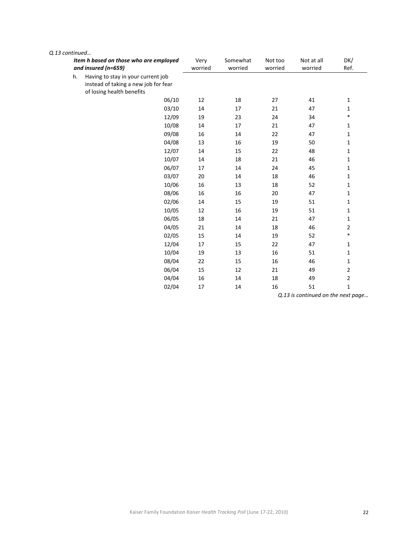| Q.13 continued |    |                                                                                                         |                 |                     |                    |                       |              |
|----------------|----|---------------------------------------------------------------------------------------------------------|-----------------|---------------------|--------------------|-----------------------|--------------|
|                |    | Item h based on those who are employed<br>and insured (n=659)                                           | Very<br>worried | Somewhat<br>worried | Not too<br>worried | Not at all<br>worried | DK/<br>Ref.  |
|                | h. | Having to stay in your current job<br>instead of taking a new job for fear<br>of losing health benefits |                 |                     |                    |                       |              |
|                |    | 06/10                                                                                                   | 12              | 18                  | 27                 | 41                    | $\mathbf 1$  |
|                |    | 03/10                                                                                                   | 14              | 17                  | 21                 | 47                    | 1            |
|                |    | 12/09                                                                                                   | 19              | 23                  | 24                 | 34                    | $\ast$       |
|                |    | 10/08                                                                                                   | 14              | 17                  | 21                 | 47                    | $\mathbf{1}$ |
|                |    | 09/08                                                                                                   | 16              | 14                  | 22                 | 47                    | 1            |
|                |    | 04/08                                                                                                   | 13              | 16                  | 19                 | 50                    | $\mathbf{1}$ |
|                |    | 12/07                                                                                                   | 14              | 15                  | 22                 | 48                    | 1            |
|                |    | 10/07                                                                                                   | 14              | 18                  | 21                 | 46                    | $\mathbf{1}$ |
|                |    | 06/07                                                                                                   | 17              | 14                  | 24                 | 45                    | $\mathbf{1}$ |
|                |    | 03/07                                                                                                   | 20              | 14                  | 18                 | 46                    | 1            |
|                |    | 10/06                                                                                                   | 16              | 13                  | 18                 | 52                    | $\mathbf{1}$ |
|                |    | 08/06                                                                                                   | 16              | 16                  | 20                 | 47                    | 1            |
|                |    | 02/06                                                                                                   | 14              | 15                  | 19                 | 51                    | $\mathbf{1}$ |
|                |    | 10/05                                                                                                   | 12              | 16                  | 19                 | 51                    | $\mathbf 1$  |
|                |    | 06/05                                                                                                   | 18              | 14                  | 21                 | 47                    | $\mathbf{1}$ |
|                |    | 04/05                                                                                                   | 21              | 14                  | 18                 | 46                    | 2            |
|                |    | 02/05                                                                                                   | 15              | 14                  | 19                 | 52                    | $\ast$       |
|                |    | 12/04                                                                                                   | 17              | 15                  | 22                 | 47                    | $\mathbf{1}$ |
|                |    | 10/04                                                                                                   | 19              | 13                  | 16                 | 51                    | 1            |
|                |    | 08/04                                                                                                   | 22              | 15                  | 16                 | 46                    | $\mathbf{1}$ |
|                |    | 06/04                                                                                                   | 15              | 12                  | 21                 | 49                    | $\mathbf 2$  |
|                |    | 04/04                                                                                                   | 16              | 14                  | 18                 | 49                    | 2            |
|                |    | 02/04                                                                                                   | 17              | 14                  | 16                 | 51                    | $\mathbf{1}$ |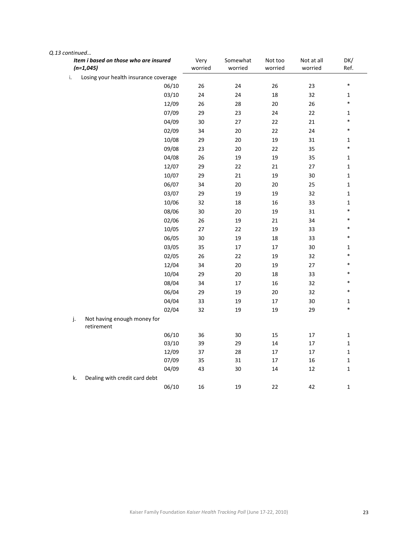| Item i based on those who are insured<br>$(n=1,045)$ | Very<br>worried | Somewhat<br>worried | Not too<br>worried | Not at all<br>worried | DK/<br>Ref.  |
|------------------------------------------------------|-----------------|---------------------|--------------------|-----------------------|--------------|
| Losing your health insurance coverage<br>i.          |                 |                     |                    |                       |              |
| 06/10                                                | 26              | 24                  | 26                 | 23                    | $\ast$       |
| 03/10                                                | 24              | 24                  | 18                 | 32                    | $\mathbf 1$  |
| 12/09                                                | 26              | 28                  | $20\,$             | 26                    | $\ast$       |
| 07/09                                                | 29              | 23                  | 24                 | 22                    | $\mathbf{1}$ |
| 04/09                                                | $30\,$          | 27                  | 22                 | 21                    | $\ast$       |
| 02/09                                                | 34              | 20                  | 22                 | 24                    | $\ast$       |
| 10/08                                                | 29              | 20                  | 19                 | 31                    | $\mathbf 1$  |
| 09/08                                                | 23              | 20                  | 22                 | 35                    | $\ast$       |
| 04/08                                                | $26\,$          | 19                  | 19                 | 35                    | $\mathbf 1$  |
| 12/07                                                | 29              | 22                  | 21                 | $27\,$                | $\mathbf 1$  |
| 10/07                                                | 29              | 21                  | 19                 | $30\,$                | $\mathbf 1$  |
| 06/07                                                | 34              | 20                  | 20                 | 25                    | $\mathbf 1$  |
| 03/07                                                | 29              | 19                  | 19                 | 32                    | $\mathbf 1$  |
| 10/06                                                | 32              | 18                  | 16                 | 33                    | $\mathbf 1$  |
| 08/06                                                | 30              | 20                  | 19                 | 31                    | $\ast$       |
| 02/06                                                | 26              | 19                  | 21                 | 34                    | $\ast$       |
| 10/05                                                | $27\,$          | 22                  | 19                 | 33                    | $\ast$       |
| 06/05                                                | $30\,$          | 19                  | 18                 | 33                    | $\ast$       |
| 03/05                                                | 35              | $17\,$              | 17                 | $30\,$                | $\mathbf 1$  |
| 02/05                                                | 26              | 22                  | 19                 | 32                    | $\ast$       |
| 12/04                                                | 34              | 20                  | 19                 | 27                    | $\ast$       |
| 10/04                                                | 29              | 20                  | 18                 | 33                    | $\ast$       |
| 08/04                                                | 34              | 17                  | 16                 | 32                    | $\ast$       |
| 06/04                                                | 29              | 19                  | 20                 | 32                    | $\ast$       |
| 04/04                                                | 33              | 19                  | $17\,$             | $30\,$                | $\mathbf 1$  |
| 02/04                                                | 32              | 19                  | 19                 | 29                    | $\ast$       |
| j.<br>Not having enough money for<br>retirement      |                 |                     |                    |                       |              |
| 06/10                                                | 36              | $30\,$              | 15                 | 17                    | $\mathbf 1$  |
| 03/10                                                | 39              | 29                  | 14                 | $17\,$                | $\mathbf 1$  |
| 12/09                                                | $37\,$          | 28                  | 17                 | $17\,$                | $\mathbf 1$  |
| 07/09                                                | 35              | 31                  | 17                 | $16\,$                | $\mathbf 1$  |
| 04/09                                                | 43              | 30                  | $14\,$             | 12                    | $\mathbf 1$  |
| Dealing with credit card debt<br>k.                  |                 |                     |                    |                       |              |
| 06/10                                                | 16              | 19                  | 22                 | 42                    | $\mathbf 1$  |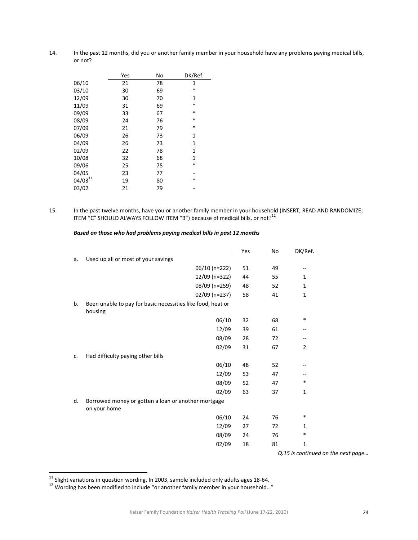14. In the past 12 months, did you or another family member in your household have any problems paying medical bills, or not?

|              | Yes | No | DK/Ref. |
|--------------|-----|----|---------|
| 06/10        | 21  | 78 | 1       |
| 03/10        | 30  | 69 | *       |
| 12/09        | 30  | 70 | 1       |
| 11/09        | 31  | 69 | $\ast$  |
| 09/09        | 33  | 67 | *       |
| 08/09        | 24  | 76 | *       |
| 07/09        | 21  | 79 | *       |
| 06/09        | 26  | 73 | 1       |
| 04/09        | 26  | 73 | 1       |
| 02/09        | 22  | 78 | 1       |
| 10/08        | 32  | 68 | 1       |
| 09/06        | 25  | 75 | *       |
| 04/05        | 23  | 77 |         |
| $04/03^{11}$ | 19  | 80 | *       |
| 03/02        | 21  | 79 |         |

15. In the past twelve months, have you or another family member in your household (INSERT; READ AND RANDOMIZE; ITEM "C" SHOULD ALWAYS FOLLOW ITEM "B") because of medical bills, or not?<sup>12</sup>

|    |                                                                        | Yes | No | DK/Ref.                  |  |
|----|------------------------------------------------------------------------|-----|----|--------------------------|--|
| a. | Used up all or most of your savings                                    |     |    |                          |  |
|    | 06/10 (n=222)                                                          | 51  | 49 | $\overline{\phantom{m}}$ |  |
|    | 12/09 (n=322)                                                          | 44  | 55 | 1                        |  |
|    | 08/09 (n=259)                                                          | 48  | 52 | 1                        |  |
|    | 02/09 (n=237)                                                          | 58  | 41 | 1                        |  |
| b. | Been unable to pay for basic necessities like food, heat or<br>housing |     |    |                          |  |
|    | 06/10                                                                  | 32  | 68 | $\ast$                   |  |
|    | 12/09                                                                  | 39  | 61 | --                       |  |
|    | 08/09                                                                  | 28  | 72 | --                       |  |
|    | 02/09                                                                  | 31  | 67 | 2                        |  |
| c. | Had difficulty paying other bills                                      |     |    |                          |  |
|    | 06/10                                                                  | 48  | 52 | --                       |  |
|    | 12/09                                                                  | 53  | 47 |                          |  |
|    | 08/09                                                                  | 52  | 47 | $\ast$                   |  |
|    | 02/09                                                                  | 63  | 37 | 1                        |  |
| d. | Borrowed money or gotten a loan or another mortgage<br>on your home    |     |    |                          |  |
|    | 06/10                                                                  | 24  | 76 | *                        |  |
|    | 12/09                                                                  | 27  | 72 | $\mathbf{1}$             |  |
|    | 08/09                                                                  | 24  | 76 | *                        |  |
|    | 02/09                                                                  | 18  | 81 | $\mathbf{1}$             |  |
|    |                                                                        |     |    | Q.15 is continued on the |  |

#### *Based on those who had problems paying medical bills in past 12 months*

l

 $next$  *page...* 

<sup>&</sup>lt;sup>11</sup> Slight variations in question wording. In 2003, sample included only adults ages 18-64.<br><sup>12</sup> Wording has been modified to include "or another family member in your household…"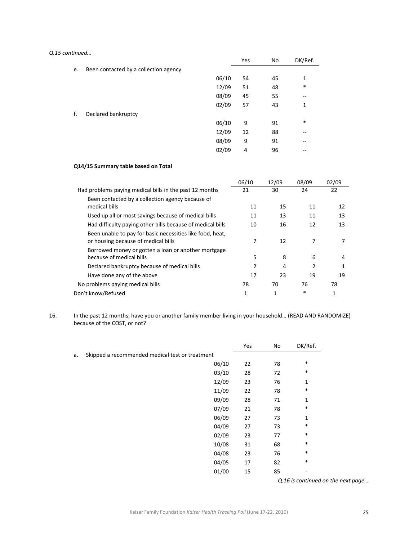#### *Q.15 continued...*

|    |                                       |       | Yes | No | DK/Ref. |
|----|---------------------------------------|-------|-----|----|---------|
| e. | Been contacted by a collection agency |       |     |    |         |
|    |                                       | 06/10 | 54  | 45 | 1       |
|    |                                       | 12/09 | 51  | 48 | $\ast$  |
|    |                                       | 08/09 | 45  | 55 | --      |
|    |                                       | 02/09 | 57  | 43 | 1       |
| f. | Declared bankruptcy                   |       |     |    |         |
|    |                                       | 06/10 | 9   | 91 | $\ast$  |
|    |                                       | 12/09 | 12  | 88 | --      |
|    |                                       | 08/09 | 9   | 91 | --      |
|    |                                       | 02/09 | 4   | 96 | --      |

#### **Q14/15 Summary table based on Total**

|                                                            | 06/10 | 12/09 | 08/09 | 02/09 |
|------------------------------------------------------------|-------|-------|-------|-------|
| Had problems paying medical bills in the past 12 months    | 21    | 30    | 24    | 22    |
| Been contacted by a collection agency because of           |       |       |       |       |
| medical bills                                              | 11    | 15    | 11    | 12    |
| Used up all or most savings because of medical bills       | 11    | 13    | 11    | 13    |
| Had difficulty paying other bills because of medical bills | 10    | 16    | 12    | 13    |
| Been unable to pay for basic necessities like food, heat,  |       |       |       |       |
| or housing because of medical bills                        | 7     | 12    |       |       |
| Borrowed money or gotten a loan or another mortgage        |       |       |       |       |
| because of medical bills                                   | 5     | 8     | 6     | 4     |
| Declared bankruptcy because of medical bills               |       | 4     | 2     |       |
| Have done any of the above                                 | 17    | 23    | 19    | 19    |
| No problems paying medical bills                           | 78    | 70    | 76    | 78    |
| Don't know/Refused                                         | 1     | 1     | *     | 1     |

16. In the past 12 months, have you or another family member living in your household… (READ AND RANDOMIZE) because of the COST, or not?

|    |                                                 | Yes | No | DK/Ref.                            |
|----|-------------------------------------------------|-----|----|------------------------------------|
| a. | Skipped a recommended medical test or treatment |     |    |                                    |
|    | 06/10                                           | 22  | 78 | $\ast$                             |
|    | 03/10                                           | 28  | 72 | *                                  |
|    | 12/09                                           | 23  | 76 | 1                                  |
|    | 11/09                                           | 22  | 78 | *                                  |
|    | 09/09                                           | 28  | 71 | 1                                  |
|    | 07/09                                           | 21  | 78 | *                                  |
|    | 06/09                                           | 27  | 73 | 1                                  |
|    | 04/09                                           | 27  | 73 | $\ast$                             |
|    | 02/09                                           | 23  | 77 | *                                  |
|    | 10/08                                           | 31  | 68 | *                                  |
|    | 04/08                                           | 23  | 76 | *                                  |
|    | 04/05                                           | 17  | 82 | *                                  |
|    | 01/00                                           | 15  | 85 |                                    |
|    |                                                 |     |    | Q.16 is continued on the next page |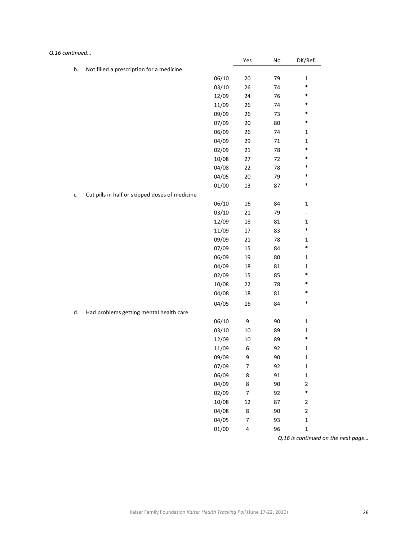|    |                                                |       | Yes    | No | DK/Ref.                  |
|----|------------------------------------------------|-------|--------|----|--------------------------|
| b. | Not filled a prescription for a medicine       |       |        |    |                          |
|    |                                                | 06/10 | $20\,$ | 79 | $\mathbf 1$              |
|    |                                                | 03/10 | 26     | 74 | *                        |
|    |                                                | 12/09 | 24     | 76 | *                        |
|    |                                                | 11/09 | 26     | 74 | *                        |
|    |                                                | 09/09 | 26     | 73 | $\ast$                   |
|    |                                                | 07/09 | $20\,$ | 80 | $\ast$                   |
|    |                                                | 06/09 | 26     | 74 | $\mathbf{1}$             |
|    |                                                | 04/09 | 29     | 71 | $\mathbf{1}$             |
|    |                                                | 02/09 | 21     | 78 | *                        |
|    |                                                | 10/08 | 27     | 72 | $\ast$                   |
|    |                                                | 04/08 | 22     | 78 | $\ast$                   |
|    |                                                | 04/05 | $20\,$ | 79 | *                        |
|    |                                                | 01/00 | 13     | 87 | *                        |
|    | Cut pills in half or skipped doses of medicine |       |        |    |                          |
|    |                                                | 06/10 | 16     | 84 | $\mathbf 1$              |
|    |                                                | 03/10 | 21     | 79 | $\overline{\phantom{0}}$ |
|    |                                                | 12/09 | 18     | 81 | $\mathbf{1}$             |
|    |                                                | 11/09 | 17     | 83 | *                        |
|    |                                                | 09/09 | 21     | 78 | $\mathbf{1}$             |
|    |                                                | 07/09 | 15     | 84 | *                        |
|    |                                                | 06/09 | 19     | 80 | $\mathbf{1}$             |
|    |                                                | 04/09 | 18     | 81 | $\mathbf 1$              |
|    |                                                | 02/09 | 15     | 85 | *                        |
|    |                                                | 10/08 | 22     | 78 | *                        |
|    |                                                | 04/08 | 18     | 81 | *                        |
|    |                                                | 04/05 | 16     | 84 | *                        |
| d. | Had problems getting mental health care        |       |        |    |                          |
|    |                                                | 06/10 | 9      | 90 | $\mathbf{1}$             |
|    |                                                | 03/10 | 10     | 89 | $\mathbf{1}$             |
|    |                                                | 12/09 | 10     | 89 | $\ast$                   |
|    |                                                | 11/09 | 6      | 92 | $\mathbf{1}$             |
|    |                                                | 09/09 | 9      | 90 | $\mathbf 1$              |
|    |                                                | 07/09 | 7      | 92 | $\mathbf 1$              |
|    |                                                | 06/09 | 8      | 91 | $\mathbf 1$              |
|    |                                                | 04/09 | 8      | 90 | $\overline{c}$           |
|    |                                                | 02/09 | 7      | 92 | $\ast$                   |
|    |                                                | 10/08 | 12     | 87 | $\mathbf 2$              |
|    |                                                | 04/08 | 8      | 90 | $\mathbf 2$              |
|    |                                                | 04/05 | 7      | 93 | $\mathbf 1$              |
|    |                                                | 01/00 | 4      | 96 | $\mathbf 1$              |
|    |                                                |       |        |    | ntinund                  |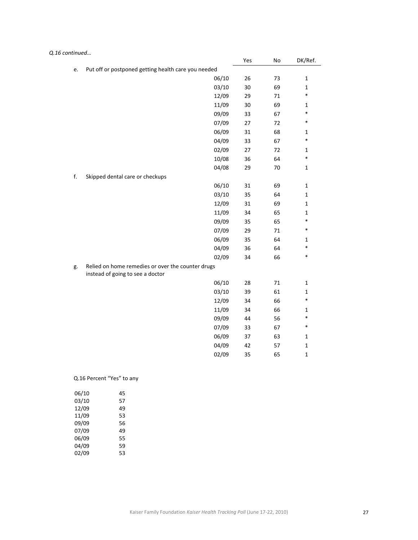| Q.16 continued |                                                                                       |     |        |              |
|----------------|---------------------------------------------------------------------------------------|-----|--------|--------------|
|                |                                                                                       | Yes | No     | DK/Ref.      |
| e.             | Put off or postponed getting health care you needed                                   |     |        |              |
|                | 06/10                                                                                 | 26  | 73     | $\mathbf 1$  |
|                | 03/10                                                                                 | 30  | 69     | $\mathbf 1$  |
|                | 12/09                                                                                 | 29  | 71     | $\ast$       |
|                | 11/09                                                                                 | 30  | 69     | 1            |
|                | 09/09                                                                                 | 33  | 67     | $\ast$       |
|                | 07/09                                                                                 | 27  | 72     | $\ast$       |
|                | 06/09                                                                                 | 31  | 68     | $\mathbf{1}$ |
|                | 04/09                                                                                 | 33  | 67     | $\ast$       |
|                | 02/09                                                                                 | 27  | 72     | $\mathbf 1$  |
|                | 10/08                                                                                 | 36  | 64     | $\ast$       |
|                | 04/08                                                                                 | 29  | $70\,$ | $\mathbf 1$  |
| f.             | Skipped dental care or checkups                                                       |     |        |              |
|                | 06/10                                                                                 | 31  | 69     | $\mathbf 1$  |
|                | 03/10                                                                                 | 35  | 64     | $\mathbf 1$  |
|                | 12/09                                                                                 | 31  | 69     | $\mathbf 1$  |
|                | 11/09                                                                                 | 34  | 65     | $\mathbf 1$  |
|                | 09/09                                                                                 | 35  | 65     | $\ast$       |
|                | 07/09                                                                                 | 29  | 71     | $\ast$       |
|                | 06/09                                                                                 | 35  | 64     | $\mathbf 1$  |
|                | 04/09                                                                                 | 36  | 64     | $\ast$       |
|                | 02/09                                                                                 | 34  | 66     | $\ast$       |
| g.             | Relied on home remedies or over the counter drugs<br>instead of going to see a doctor |     |        |              |
|                | 06/10                                                                                 | 28  | $71\,$ | $\mathbf 1$  |
|                | 03/10                                                                                 | 39  | 61     | $\mathbf 1$  |
|                | 12/09                                                                                 | 34  | 66     | $\ast$       |
|                | 11/09                                                                                 | 34  | 66     | $\mathbf{1}$ |
|                | 09/09                                                                                 | 44  | 56     | $\ast$       |
|                | 07/09                                                                                 | 33  | 67     | $\ast$       |
|                | 06/09                                                                                 | 37  | 63     | $\mathbf 1$  |
|                | 04/09                                                                                 | 42  | 57     | $\mathbf 1$  |
|                | 02/09                                                                                 | 35  | 65     | $\mathbf 1$  |
|                |                                                                                       |     |        |              |

# Q.16 Percent "Yes" to any

| 06/10 | 45 |
|-------|----|
| 03/10 | 57 |
| 12/09 | 49 |
| 11/09 | 53 |
| 09/09 | 56 |
| 07/09 | 49 |
| 06/09 | 55 |
| 04/09 | 59 |
| 02/09 | 53 |
|       |    |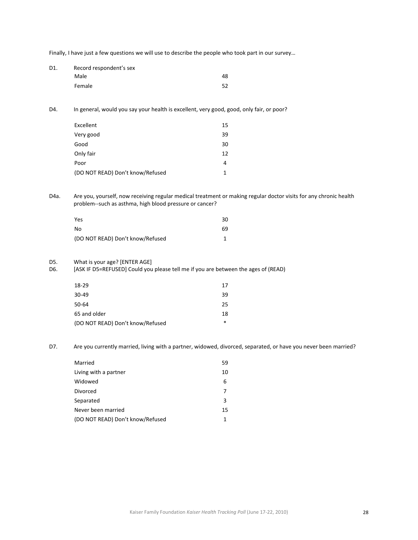Finally, I have just a few questions we will use to describe the people who took part in our survey…

| D1. | Record respondent's sex |    |
|-----|-------------------------|----|
|     | Male                    | 48 |
|     | Female                  | 52 |

D4. In general, would you say your health is excellent, very good, good, only fair, or poor?

| Excellent                        | 15 |
|----------------------------------|----|
| Very good                        | 39 |
| Good                             | 30 |
| Only fair                        | 12 |
| Poor                             | 4  |
| (DO NOT READ) Don't know/Refused |    |

D4a. Are you, yourself, now receiving regular medical treatment or making regular doctor visits for any chronic health problem‐‐such as asthma, high blood pressure or cancer?

| Yes                              | 30 |
|----------------------------------|----|
| No                               | 69 |
| (DO NOT READ) Don't know/Refused |    |

# D5. What is your age? [ENTER AGE]<br>D6. [ASK IF D5=REFUSED] Could you

[ASK IF D5=REFUSED] Could you please tell me if you are between the ages of (READ)

| 18-29                            | 17     |
|----------------------------------|--------|
| 30-49                            | 39     |
| 50-64                            | 25     |
| 65 and older                     | 18     |
| (DO NOT READ) Don't know/Refused | $\ast$ |

D7. Are you currently married, living with a partner, widowed, divorced, separated, or have you never been married?

| Married                          | 59 |
|----------------------------------|----|
| Living with a partner            | 10 |
| Widowed                          | 6  |
| Divorced                         |    |
| Separated                        | 3  |
| Never been married               | 15 |
| (DO NOT READ) Don't know/Refused |    |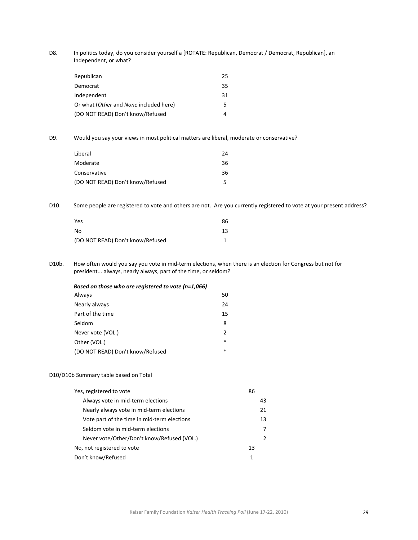D8. In politics today, do you consider yourself a [ROTATE: Republican, Democrat / Democrat, Republican], an Independent, or what?

| Republican                             | 25 |
|----------------------------------------|----|
| Democrat                               | 35 |
| Independent                            | 31 |
| Or what (Other and None included here) | 5. |
| (DO NOT READ) Don't know/Refused       |    |

D9. Would you say your views in most political matters are liberal, moderate or conservative?

| Liberal                          | 24 |
|----------------------------------|----|
| Moderate                         | 36 |
| Conservative                     | 36 |
| (DO NOT READ) Don't know/Refused |    |

D10. Some people are registered to vote and others are not. Are you currently registered to vote at your present address?

| Yes                              | 86 |
|----------------------------------|----|
| Nο                               | 13 |
| (DO NOT READ) Don't know/Refused |    |

D10b. How often would you say you vote in mid-term elections, when there is an election for Congress but not for president... always, nearly always, part of the time, or seldom?

| Based on those who are registered to vote (n=1,066) |               |
|-----------------------------------------------------|---------------|
| Always                                              | 50            |
| Nearly always                                       | 24            |
| Part of the time                                    | 15            |
| Seldom                                              | 8             |
| Never vote (VOL.)                                   | $\mathcal{P}$ |
| Other (VOL.)                                        | $\ast$        |
| (DO NOT READ) Don't know/Refused                    | $\ast$        |

#### D10/D10b Summary table based on Total

| Yes, registered to vote                     | 86 |
|---------------------------------------------|----|
| Always vote in mid-term elections           | 43 |
| Nearly always vote in mid-term elections    | 21 |
| Vote part of the time in mid-term elections | 13 |
| Seldom vote in mid-term elections           | 7  |
| Never vote/Other/Don't know/Refused (VOL.)  | 2  |
| No, not registered to vote                  | 13 |
| Don't know/Refused                          | 1  |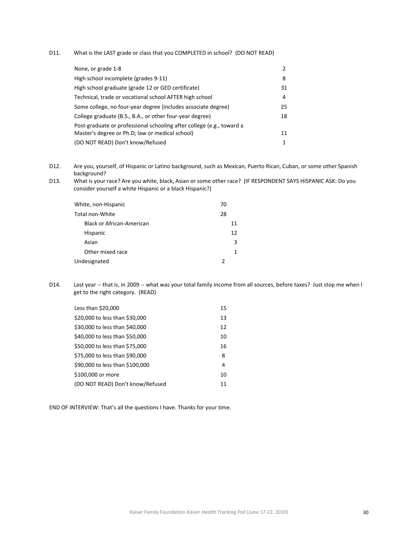D11. What is the LAST grade or class that you COMPLETED in school? (DO NOT READ)

| None, or grade 1-8                                                    | 2  |
|-----------------------------------------------------------------------|----|
| High school incomplete (grades 9-11)                                  | 8  |
| High school graduate (grade 12 or GED certificate)                    | 31 |
| Technical, trade or vocational school AFTER high school               | 4  |
| Some college, no four-year degree (includes associate degree)         | 25 |
| College graduate (B.S., B.A., or other four-year degree)              | 18 |
| Post-graduate or professional schooling after college (e.g., toward a |    |
| Master's degree or Ph.D; law or medical school)                       | 11 |
| (DO NOT READ) Don't know/Refused                                      | 1  |

D12. Are you, yourself, of Hispanic or Latino background, such as Mexican, Puerto Rican, Cuban, or some other Spanish background?

D13. What is your race? Are you white, black, Asian or some other race? (IF RESPONDENT SAYS HISPANIC ASK: Do you consider yourself a white Hispanic or a black Hispanic?)

| White, non-Hispanic       | 70 |
|---------------------------|----|
| Total non-White           | 28 |
| Black or African-American | 11 |
| Hispanic                  | 12 |
| Asian                     | 3  |
| Other mixed race          |    |
| Undesignated              |    |

D14. Last year -- that is, in 2009 -- what was your total family income from all sources, before taxes? Just stop me when I get to the right category. (READ)

| Less than \$20,000               | 15 |
|----------------------------------|----|
| \$20,000 to less than \$30,000   | 13 |
| \$30,000 to less than \$40,000   | 12 |
| \$40,000 to less than \$50,000   | 10 |
| \$50,000 to less than \$75,000   | 16 |
| \$75,000 to less than \$90,000   | 8  |
| \$90,000 to less than \$100,000  | 4  |
| \$100,000 or more                | 10 |
| (DO NOT READ) Don't know/Refused | 11 |

END OF INTERVIEW: That's all the questions I have. Thanks for your time.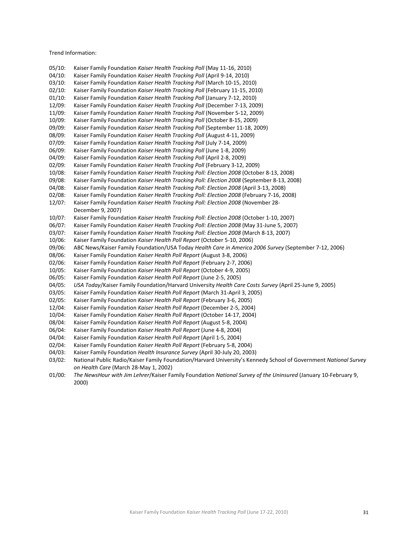Trend Information:

05/10: Kaiser Family Foundation *Kaiser Health Tracking Poll* (May 11‐16, 2010) 04/10: Kaiser Family Foundation *Kaiser Health Tracking Poll* (April 9‐14, 2010) 03/10: Kaiser Family Foundation *Kaiser Health Tracking Poll* (March 10‐15, 2010) 02/10: Kaiser Family Foundation *Kaiser Health Tracking Poll* (February 11‐15, 2010) 01/10: Kaiser Family Foundation *Kaiser Health Tracking Poll* (January 7‐12, 2010) 12/09: Kaiser Family Foundation *Kaiser Health Tracking Poll* (December 7‐13, 2009) 11/09: Kaiser Family Foundation *Kaiser Health Tracking Poll* (November 5‐12, 2009) 10/09: Kaiser Family Foundation *Kaiser Health Tracking Poll* (October 8‐15, 2009) 09/09: Kaiser Family Foundation *Kaiser Health Tracking Poll* (September 11‐18, 2009) 08/09: Kaiser Family Foundation *Kaiser Health Tracking Poll* (August 4‐11, 2009) 07/09: Kaiser Family Foundation *Kaiser Health Tracking Poll* (July 7‐14, 2009) 06/09: Kaiser Family Foundation *Kaiser Health Tracking Poll* (June 1‐8, 2009) 04/09: Kaiser Family Foundation *Kaiser Health Tracking Poll* (April 2‐8, 2009) 02/09: Kaiser Family Foundation *Kaiser Health Tracking Poll* (February 3‐12, 2009) 10/08: Kaiser Family Foundation *Kaiser Health Tracking Poll: Election 2008* (October 8‐13, 2008) 09/08: Kaiser Family Foundation *Kaiser Health Tracking Poll: Election 2008* (September 8‐13, 2008) 04/08: Kaiser Family Foundation *Kaiser Health Tracking Poll: Election 2008* (April 3‐13, 2008) 02/08: Kaiser Family Foundation *Kaiser Health Tracking Poll: Election 2008* (February 7‐16, 2008) 12/07: Kaiser Family Foundation *Kaiser Health Tracking Poll: Election 2008* (November 28‐ December 9, 2007) 10/07: Kaiser Family Foundation *Kaiser Health Tracking Poll: Election 2008* (October 1‐10, 2007) 06/07: Kaiser Family Foundation *Kaiser Health Tracking Poll: Election 2008* (May 31‐June 5, 2007) 03/07: Kaiser Family Foundation *Kaiser Health Tracking Poll: Election 2008* (March 8‐13, 2007) 10/06: Kaiser Family Foundation *Kaiser Health Poll Report* (October 5‐10, 2006) 09/06: ABC News/Kaiser Family Foundation/USA Today *Health Care in America 2006 Survey* (September 7‐12, 2006) 08/06: Kaiser Family Foundation *Kaiser Health Poll Report* (August 3‐8, 2006) 02/06: Kaiser Family Foundation *Kaiser Health Poll Report* (February 2‐7, 2006) 10/05: Kaiser Family Foundation *Kaiser Health Poll Report* (October 4‐9, 2005) 06/05: Kaiser Family Foundation *Kaiser Health Poll Report* (June 2‐5, 2005) 04/05: *USA Today*/Kaiser Family Foundation/Harvard University *Health Care Costs Survey* (April 25‐June 9, 2005) 03/05: Kaiser Family Foundation *Kaiser Health Poll Report* (March 31‐April 3, 2005) 02/05: Kaiser Family Foundation *Kaiser Health Poll Report* (February 3‐6, 2005) 12/04: Kaiser Family Foundation *Kaiser Health Poll Report* (December 2‐5, 2004) 10/04: Kaiser Family Foundation *Kaiser Health Poll Report* (October 14‐17, 2004) 08/04: Kaiser Family Foundation *Kaiser Health Poll Report* (August 5‐8, 2004) 06/04: Kaiser Family Foundation *Kaiser Health Poll Report* (June 4‐8, 2004) 04/04: Kaiser Family Foundation *Kaiser Health Poll Report* (April 1‐5, 2004) 02/04: Kaiser Family Foundation *Kaiser Health Poll Report* (February 5‐8, 2004) 04/03: Kaiser Family Foundation *Health Insurance Survey* (April 30‐July 20, 2003) 03/02: National Public Radio/Kaiser Family Foundation/Harvard University's Kennedy School of Government *National Survey on Health Care* (March 28‐May 1, 2002) 01/00: *The NewsHour with Jim Lehrer*/Kaiser Family Foundation *National Survey of the Uninsured* (January 10‐February 9, 2000)